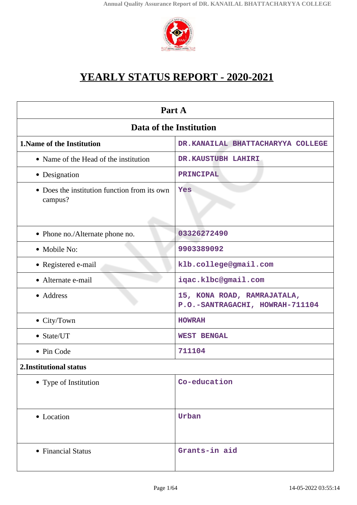

# **YEARLY STATUS REPORT - 2020-2021**

| Part A                                                  |                                                                |  |
|---------------------------------------------------------|----------------------------------------------------------------|--|
| Data of the Institution                                 |                                                                |  |
| <b>1. Name of the Institution</b>                       | DR.KANAILAL BHATTACHARYYA COLLEGE                              |  |
| • Name of the Head of the institution                   | DR.KAUSTUBH LAHIRI                                             |  |
| • Designation                                           | PRINCIPAL                                                      |  |
| • Does the institution function from its own<br>campus? | Yes                                                            |  |
| • Phone no./Alternate phone no.                         | 03326272490                                                    |  |
| • Mobile No:                                            | 9903389092                                                     |  |
| • Registered e-mail                                     | klb.college@gmail.com                                          |  |
| • Alternate e-mail                                      | iqac.klbc@gmail.com                                            |  |
| • Address                                               | 15, KONA ROAD, RAMRAJATALA,<br>P.O.-SANTRAGACHI, HOWRAH-711104 |  |
| • City/Town                                             | <b>HOWRAH</b>                                                  |  |
| • State/UT                                              | <b>WEST BENGAL</b>                                             |  |
| • Pin Code                                              | 711104                                                         |  |
| 2. Institutional status                                 |                                                                |  |
| • Type of Institution                                   | Co-education                                                   |  |
| • Location                                              | Urban                                                          |  |
| • Financial Status                                      | Grants-in aid                                                  |  |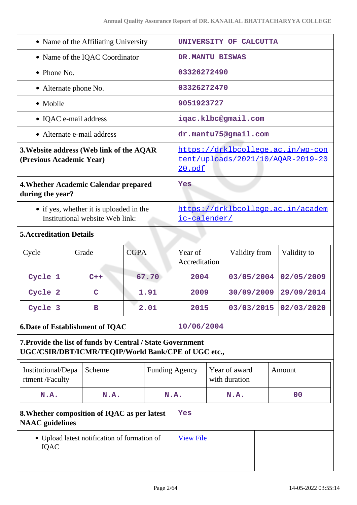| • Name of the Affiliating University                                                                              |             |             | UNIVERSITY OF CALCUTTA                                                                  |                          |  |                                |  |                |  |
|-------------------------------------------------------------------------------------------------------------------|-------------|-------------|-----------------------------------------------------------------------------------------|--------------------------|--|--------------------------------|--|----------------|--|
| • Name of the IQAC Coordinator                                                                                    |             |             | DR.MANTU BISWAS                                                                         |                          |  |                                |  |                |  |
| $\bullet$ Phone No.                                                                                               |             |             |                                                                                         | 03326272490              |  |                                |  |                |  |
| • Alternate phone No.                                                                                             |             |             |                                                                                         | 03326272470              |  |                                |  |                |  |
| • Mobile                                                                                                          |             |             |                                                                                         | 9051923727               |  |                                |  |                |  |
| • IQAC e-mail address                                                                                             |             |             |                                                                                         |                          |  | iqac.klbc@gmail.com            |  |                |  |
| • Alternate e-mail address                                                                                        |             |             |                                                                                         | dr.mantu75@gmail.com     |  |                                |  |                |  |
| 3. Website address (Web link of the AQAR<br>(Previous Academic Year)                                              |             |             | https://drklbcollege.ac.in/wp-con<br>tent/uploads/2021/10/AQAR-2019-20<br><u>20.pdf</u> |                          |  |                                |  |                |  |
| 4. Whether Academic Calendar prepared<br>during the year?                                                         |             |             |                                                                                         | Yes                      |  |                                |  |                |  |
| • if yes, whether it is uploaded in the<br>Institutional website Web link:                                        |             |             | https://drklbcollege.ac.in/academ<br>ic-calender/                                       |                          |  |                                |  |                |  |
| <b>5. Accreditation Details</b>                                                                                   |             |             |                                                                                         |                          |  |                                |  |                |  |
| Cycle                                                                                                             | Grade       | <b>CGPA</b> |                                                                                         | Year of<br>Accreditation |  | Validity from                  |  | Validity to    |  |
| Cycle 1                                                                                                           | $C++$       |             | 67.70                                                                                   | 2004                     |  | 03/05/2004                     |  | 02/05/2009     |  |
| Cycle 2                                                                                                           | $\mathbf C$ |             | 1.91                                                                                    | 2009                     |  | 30/09/2009                     |  | 29/09/2014     |  |
| Cycle 3                                                                                                           | в           |             | 2.01                                                                                    | 2015                     |  | 03/03/2015                     |  | 02/03/2020     |  |
| <b>6. Date of Establishment of IQAC</b>                                                                           |             |             |                                                                                         | 10/06/2004               |  |                                |  |                |  |
| 7. Provide the list of funds by Central / State Government<br>UGC/CSIR/DBT/ICMR/TEQIP/World Bank/CPE of UGC etc., |             |             |                                                                                         |                          |  |                                |  |                |  |
| Institutional/Depa<br>rtment /Faculty                                                                             | Scheme      |             | <b>Funding Agency</b>                                                                   |                          |  | Year of award<br>with duration |  | Amount         |  |
| N.A.                                                                                                              | N.A.        |             | N.A.                                                                                    |                          |  | N.A.                           |  | 0 <sub>0</sub> |  |
| 8. Whether composition of IQAC as per latest<br><b>NAAC</b> guidelines                                            |             |             | Yes                                                                                     |                          |  |                                |  |                |  |
| • Upload latest notification of formation of<br><b>IQAC</b>                                                       |             |             |                                                                                         | <b>View File</b>         |  |                                |  |                |  |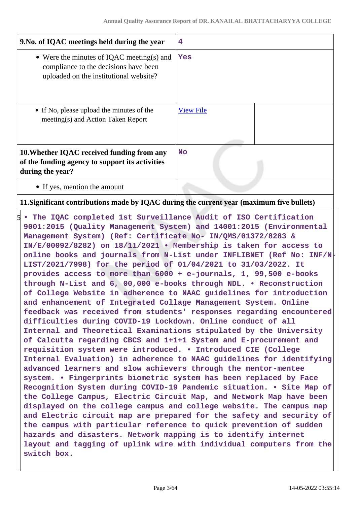| 9. No. of IQAC meetings held during the year                                                                                 | 4                |
|------------------------------------------------------------------------------------------------------------------------------|------------------|
| • Were the minutes of IQAC meeting(s) and<br>compliance to the decisions have been<br>uploaded on the institutional website? | Yes              |
| • If No, please upload the minutes of the<br>meeting(s) and Action Taken Report                                              | <b>View File</b> |
| 10. Whether IQAC received funding from any<br>of the funding agency to support its activities<br>during the year?            | <b>No</b>        |
| • If yes, mention the amount                                                                                                 |                  |

# **11.Significant contributions made by IQAC during the current year (maximum five bullets)**

5 **• The IQAC completed 1st Surveillance Audit of ISO Certification 9001:2015 (Quality Management System) and 14001:2015 (Environmental Management System) (Ref: Certificate No- IN/QMS/01372/8283 & IN/E/00092/8282) on 18/11/2021 • Membership is taken for access to online books and journals from N-List under INFLIBNET (Ref No: INF/N-LIST/2021/7998) for the period of 01/04/2021 to 31/03/2022. It provides access to more than 6000 + e-journals, 1, 99,500 e-books through N-List and 6, 00,000 e-books through NDL. • Reconstruction of College Website in adherence to NAAC guidelines for introduction and enhancement of Integrated Collage Management System. Online feedback was received from students' responses regarding encountered difficulties during COVID-19 Lockdown. Online conduct of all Internal and Theoretical Examinations stipulated by the University of Calcutta regarding CBCS and 1+1+1 System and E-procurement and requisition system were introduced. • Introduced CIE (College Internal Evaluation) in adherence to NAAC guidelines for identifying advanced learners and slow achievers through the mentor-mentee system. • Fingerprints biometric system has been replaced by Face Recognition System during COVID-19 Pandemic situation. • Site Map of the College Campus, Electric Circuit Map, and Network Map have been displayed on the college campus and college website. The campus map and Electric circuit map are prepared for the safety and security of the campus with particular reference to quick prevention of sudden hazards and disasters. Network mapping is to identify internet layout and tagging of uplink wire with individual computers from the switch box.**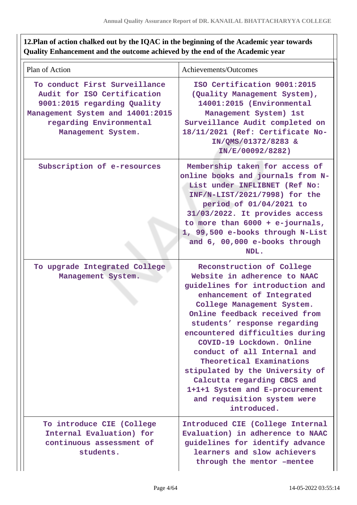# **12.Plan of action chalked out by the IQAC in the beginning of the Academic year towards Quality Enhancement and the outcome achieved by the end of the Academic year**

| Plan of Action                                                                                                                                                                   | Achievements/Outcomes                                                                                                                                                                                                                                                                                                                                                                                                                                                                                 |
|----------------------------------------------------------------------------------------------------------------------------------------------------------------------------------|-------------------------------------------------------------------------------------------------------------------------------------------------------------------------------------------------------------------------------------------------------------------------------------------------------------------------------------------------------------------------------------------------------------------------------------------------------------------------------------------------------|
| To conduct First Surveillance<br>Audit for ISO Certification<br>9001:2015 regarding Quality<br>Management System and 14001:2015<br>regarding Environmental<br>Management System. | ISO Certification 9001:2015<br>(Quality Management System),<br>14001:2015 (Environmental<br>Management System) 1st<br>Surveillance Audit completed on<br>18/11/2021 (Ref: Certificate No-<br>IN/QMS/01372/8283 &<br>IN/E/00092/8282)                                                                                                                                                                                                                                                                  |
| Subscription of e-resources                                                                                                                                                      | Membership taken for access of<br>online books and journals from N-<br>List under INFLIBNET (Ref No:<br>INF/N-LIST/2021/7998) for the<br>period of 01/04/2021 to<br>31/03/2022. It provides access<br>to more than $6000 + e$ -journals,<br>1, 99,500 e-books through N-List<br>and 6, 00,000 e-books through<br>NDL.                                                                                                                                                                                 |
| To upgrade Integrated College<br>Management System.                                                                                                                              | Reconstruction of College<br>Website in adherence to NAAC<br>guidelines for introduction and<br>enhancement of Integrated<br>College Management System.<br>Online feedback received from<br>students' response regarding<br>encountered difficulties during<br>COVID-19 Lockdown. Online<br>conduct of all Internal and<br>Theoretical Examinations<br>stipulated by the University of<br>Calcutta regarding CBCS and<br>1+1+1 System and E-procurement<br>and requisition system were<br>introduced. |
| To introduce CIE (College<br>Internal Evaluation) for<br>continuous assessment of<br>students.                                                                                   | Introduced CIE (College Internal<br>Evaluation) in adherence to NAAC<br>guidelines for identify advance<br>learners and slow achievers<br>through the mentor -mentee                                                                                                                                                                                                                                                                                                                                  |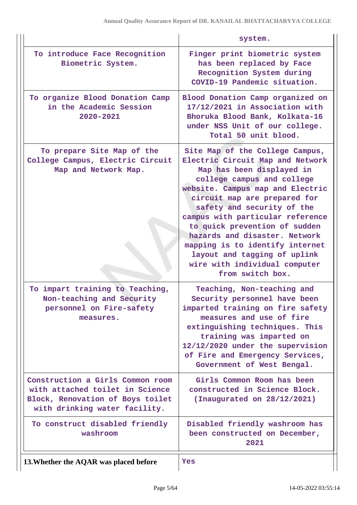|                                                                                                                                          | system.                                                                                                                                                                                                                                                                                                                                                                                                                                                        |
|------------------------------------------------------------------------------------------------------------------------------------------|----------------------------------------------------------------------------------------------------------------------------------------------------------------------------------------------------------------------------------------------------------------------------------------------------------------------------------------------------------------------------------------------------------------------------------------------------------------|
| To introduce Face Recognition<br>Biometric System.                                                                                       | Finger print biometric system<br>has been replaced by Face<br>Recognition System during<br>COVID-19 Pandemic situation.                                                                                                                                                                                                                                                                                                                                        |
| To organize Blood Donation Camp<br>in the Academic Session<br>2020-2021                                                                  | Blood Donation Camp organized on<br>17/12/2021 in Association with<br>Bhoruka Blood Bank, Kolkata-16<br>under NSS Unit of our college.<br>Total 50 unit blood.                                                                                                                                                                                                                                                                                                 |
| To prepare Site Map of the<br>College Campus, Electric Circuit<br>Map and Network Map.                                                   | Site Map of the College Campus,<br>Electric Circuit Map and Network<br>Map has been displayed in<br>college campus and college<br>website. Campus map and Electric<br>circuit map are prepared for<br>safety and security of the<br>campus with particular reference<br>to quick prevention of sudden<br>hazards and disaster. Network<br>mapping is to identify internet<br>layout and tagging of uplink<br>wire with individual computer<br>from switch box. |
| To impart training to Teaching,<br>Non-teaching and Security<br>personnel on Fire-safety<br>measures.                                    | Teaching, Non-teaching and<br>Security personnel have been<br>imparted training on fire safety<br>measures and use of fire<br>extinguishing techniques. This<br>training was imparted on<br>12/12/2020 under the supervision<br>of Fire and Emergency Services,<br>Government of West Bengal.                                                                                                                                                                  |
| Construction a Girls Common room<br>with attached toilet in Science<br>Block, Renovation of Boys toilet<br>with drinking water facility. | Girls Common Room has been<br>constructed in Science Block.<br>(Inaugurated on 28/12/2021)                                                                                                                                                                                                                                                                                                                                                                     |
| To construct disabled friendly<br>washroom                                                                                               | Disabled friendly washroom has<br>been constructed on December,<br>2021                                                                                                                                                                                                                                                                                                                                                                                        |
|                                                                                                                                          |                                                                                                                                                                                                                                                                                                                                                                                                                                                                |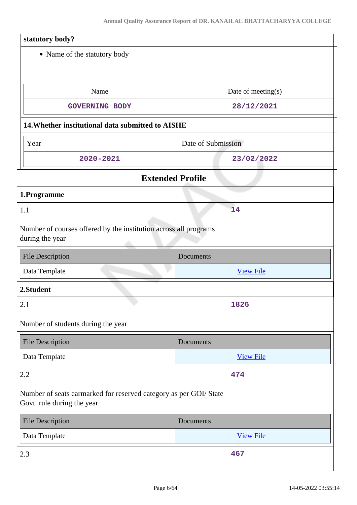| statutory body?                                                                                 |                    |  |  |
|-------------------------------------------------------------------------------------------------|--------------------|--|--|
| • Name of the statutory body                                                                    |                    |  |  |
|                                                                                                 |                    |  |  |
| Name                                                                                            | Date of meeting(s) |  |  |
| <b>GOVERNING BODY</b>                                                                           | 28/12/2021         |  |  |
| 14. Whether institutional data submitted to AISHE                                               |                    |  |  |
| Year                                                                                            | Date of Submission |  |  |
| 2020-2021                                                                                       | 23/02/2022         |  |  |
| <b>Extended Profile</b>                                                                         |                    |  |  |
| 1.Programme                                                                                     |                    |  |  |
| 1.1                                                                                             | 14                 |  |  |
| Number of courses offered by the institution across all programs<br>during the year             |                    |  |  |
| <b>File Description</b><br>Documents                                                            |                    |  |  |
| Data Template                                                                                   | <b>View File</b>   |  |  |
| 2.Student                                                                                       |                    |  |  |
| 2.1                                                                                             | 1826               |  |  |
| Number of students during the year                                                              |                    |  |  |
| <b>File Description</b>                                                                         | Documents          |  |  |
| Data Template                                                                                   | <b>View File</b>   |  |  |
| 2.2                                                                                             | 474                |  |  |
| Number of seats earmarked for reserved category as per GOI/ State<br>Govt. rule during the year |                    |  |  |
| <b>File Description</b>                                                                         | Documents          |  |  |
| Data Template                                                                                   | <b>View File</b>   |  |  |
| 2.3                                                                                             |                    |  |  |
|                                                                                                 | 467                |  |  |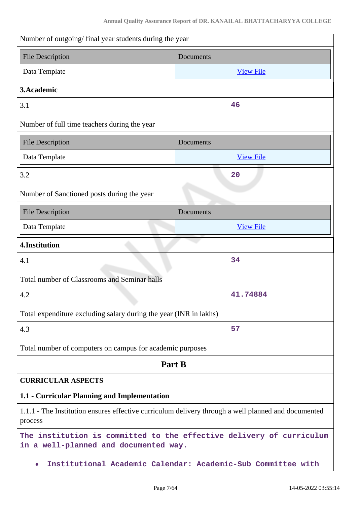| Number of outgoing/final year students during the year                                                         |                  |  |
|----------------------------------------------------------------------------------------------------------------|------------------|--|
| <b>File Description</b>                                                                                        | Documents        |  |
| Data Template                                                                                                  | <b>View File</b> |  |
| 3. Academic                                                                                                    |                  |  |
| 3.1                                                                                                            | 46               |  |
| Number of full time teachers during the year                                                                   |                  |  |
| <b>File Description</b>                                                                                        | Documents        |  |
| Data Template                                                                                                  | <b>View File</b> |  |
| 3.2                                                                                                            | 20               |  |
| Number of Sanctioned posts during the year                                                                     |                  |  |
| <b>File Description</b>                                                                                        | Documents        |  |
| Data Template                                                                                                  | <b>View File</b> |  |
| 4.Institution                                                                                                  |                  |  |
| 4.1                                                                                                            | 34               |  |
| Total number of Classrooms and Seminar halls                                                                   |                  |  |
| 4.2                                                                                                            | 41.74884         |  |
| Total expenditure excluding salary during the year (INR in lakhs)                                              |                  |  |
| 4.3                                                                                                            | 57               |  |
| Total number of computers on campus for academic purposes                                                      |                  |  |
| Part B                                                                                                         |                  |  |
| <b>CURRICULAR ASPECTS</b>                                                                                      |                  |  |
| 1.1 - Curricular Planning and Implementation                                                                   |                  |  |
| 1.1.1 - The Institution ensures effective curriculum delivery through a well planned and documented<br>process |                  |  |
| The institution is committed to the effective delivery of curriculum<br>in a well-planned and documented way.  |                  |  |
|                                                                                                                |                  |  |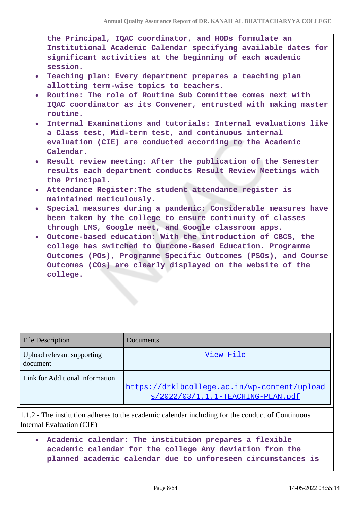**the Principal, IQAC coordinator, and HODs formulate an Institutional Academic Calendar specifying available dates for significant activities at the beginning of each academic session.**

- **Teaching plan: Every department prepares a teaching plan allotting term-wise topics to teachers.**
- **Routine: The role of Routine Sub Committee comes next with IQAC coordinator as its Convener, entrusted with making master routine.**
- **Internal Examinations and tutorials: Internal evaluations like a Class test, Mid-term test, and continuous internal evaluation (CIE) are conducted according to the Academic Calendar.**
- **Result review meeting: After the publication of the Semester results each department conducts Result Review Meetings with the Principal.**
- **Attendance Register:The student attendance register is maintained meticulously.**
- **Special measures during a pandemic: Considerable measures have been taken by the college to ensure continuity of classes through LMS, Google meet, and Google classroom apps.**
- **Outcome-based education: With the introduction of CBCS, the college has switched to Outcome-Based Education. Programme Outcomes (POs), Programme Specific Outcomes (PSOs), and Course Outcomes (COs) are clearly displayed on the website of the college.**

| <b>File Description</b>                | Documents                                                                           |
|----------------------------------------|-------------------------------------------------------------------------------------|
| Upload relevant supporting<br>document | View File                                                                           |
| Link for Additional information        | https://drklbcollege.ac.in/wp-content/upload<br>$s/2022/03/1.1.1-TEACHING-PLAN.pdf$ |

1.1.2 - The institution adheres to the academic calendar including for the conduct of Continuous Internal Evaluation (CIE)

**Academic calendar: The institution prepares a flexible**  $\bullet$ **academic calendar for the college Any deviation from the planned academic calendar due to unforeseen circumstances is**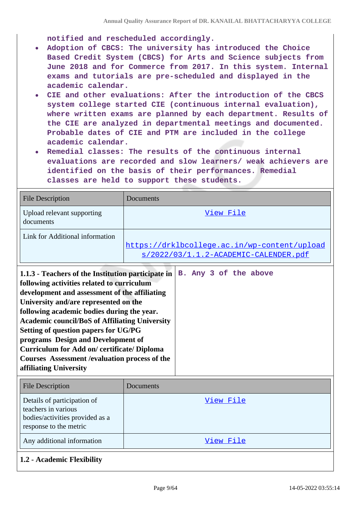**notified and rescheduled accordingly.**

- **Adoption of CBCS: The university has introduced the Choice Based Credit System (CBCS) for Arts and Science subjects from June 2018 and for Commerce from 2017. In this system. Internal exams and tutorials are pre-scheduled and displayed in the academic calendar.**
- **CIE and other evaluations: After the introduction of the CBCS system college started CIE (continuous internal evaluation), where written exams are planned by each department. Results of the CIE are analyzed in departmental meetings and documented. Probable dates of CIE and PTM are included in the college academic calendar.**
- **Remedial classes: The results of the continuous internal evaluations are recorded and slow learners/ weak achievers are identified on the basis of their performances. Remedial classes are held to support these students.**

| <b>File Description</b>                                                                                                                                                                                                                                                                                                                                                                                                                                                                                                         | Documents                                                                             |  |
|---------------------------------------------------------------------------------------------------------------------------------------------------------------------------------------------------------------------------------------------------------------------------------------------------------------------------------------------------------------------------------------------------------------------------------------------------------------------------------------------------------------------------------|---------------------------------------------------------------------------------------|--|
| Upload relevant supporting<br>documents                                                                                                                                                                                                                                                                                                                                                                                                                                                                                         | View File                                                                             |  |
| Link for Additional information                                                                                                                                                                                                                                                                                                                                                                                                                                                                                                 | https://drklbcollege.ac.in/wp-content/upload<br>s/2022/03/1.1.2-ACADEMIC-CALENDER.pdf |  |
| 1.1.3 - Teachers of the Institution participate in<br>following activities related to curriculum<br>development and assessment of the affiliating<br>University and/are represented on the<br>following academic bodies during the year.<br><b>Academic council/BoS of Affiliating University</b><br><b>Setting of question papers for UG/PG</b><br>programs Design and Development of<br><b>Curriculum for Add on/ certificate/ Diploma</b><br><b>Courses Assessment / evaluation process of the</b><br>affiliating University | B. Any 3 of the above                                                                 |  |
| <b>File Description</b>                                                                                                                                                                                                                                                                                                                                                                                                                                                                                                         | Documents                                                                             |  |
| Details of participation of<br>teachers in various<br>bodies/activities provided as a<br>response to the metric                                                                                                                                                                                                                                                                                                                                                                                                                 | View File                                                                             |  |
| Any additional information                                                                                                                                                                                                                                                                                                                                                                                                                                                                                                      | View File                                                                             |  |

# **1.2 - Academic Flexibility**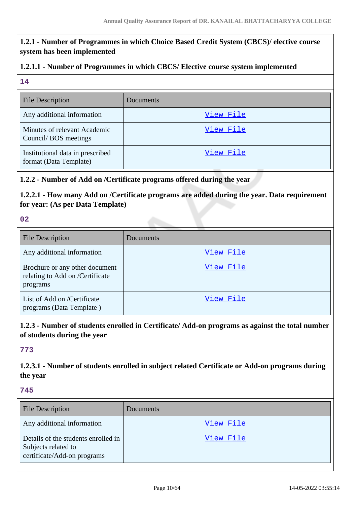# **1.2.1 - Number of Programmes in which Choice Based Credit System (CBCS)/ elective course system has been implemented 1.2.1.1 - Number of Programmes in which CBCS/ Elective course system implemented 14** File Description Documents Any additional information and the state of the [View File](https://assessmentonline.naac.gov.in/storage/app/public/aqar/13769/13769_6_7.pdf?1652523912) Minutes of relevant Academic Council/ BOS meetings [View File](https://assessmentonline.naac.gov.in/storage/app/public/aqar/13769/13769_6_8.pdf?1652523912) Institutional data in prescribed format (Data Template) [View File](https://assessmentonline.naac.gov.in/storage/app/public/aqar/13769/13769_6_9.xlsx?1652523912) **1.2.2 - Number of Add on /Certificate programs offered during the year 1.2.2.1 - How many Add on /Certificate programs are added during the year. Data requirement for year: (As per Data Template) 02** File Description Documents Any additional information and the state of the [View File](https://assessmentonline.naac.gov.in/storage/app/public/aqar/13769/13769_7_10.pdf?1652523912) Brochure or any other document relating to Add on /Certificate programs [View File](https://assessmentonline.naac.gov.in/storage/app/public/aqar/13769/13769_7_11.pdf?1652523912) List of Add on /Certificate programs (Data Template ) [View File](https://assessmentonline.naac.gov.in/storage/app/public/aqar/13769/13769_7_12.xlsx?1652523912) **1.2.3 - Number of students enrolled in Certificate/ Add-on programs as against the total number of students during the year 773 1.2.3.1 - Number of students enrolled in subject related Certificate or Add-on programs during the year 745** File Description Documents Any additional information and the state of the [View File](https://assessmentonline.naac.gov.in/storage/app/public/aqar/13769/13769_8_13.pdf?1652523912) Details of the students enrolled in Subjects related to certificate/Add-on programs [View File](https://assessmentonline.naac.gov.in/storage/app/public/aqar/13769/13769_8_14.xlsx?1652523912)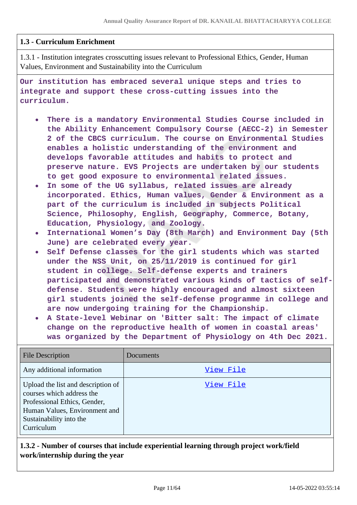## **1.3 - Curriculum Enrichment**

1.3.1 - Institution integrates crosscutting issues relevant to Professional Ethics, Gender, Human Values, Environment and Sustainability into the Curriculum

**Our institution has embraced several unique steps and tries to integrate and support these cross-cutting issues into the curriculum.**

- **There is a mandatory Environmental Studies Course included in the Ability Enhancement Compulsory Course (AECC-2) in Semester 2 of the CBCS curriculum. The course on Environmental Studies enables a holistic understanding of the environment and develops favorable attitudes and habits to protect and preserve nature. EVS Projects are undertaken by our students to get good exposure to environmental related issues.**
- **In some of the UG syllabus, related issues are already incorporated. Ethics, Human values, Gender & Environment as a part of the curriculum is included in subjects Political Science, Philosophy, English, Geography, Commerce, Botany, Education, Physiology, and Zoology.**
- **International Women's Day (8th March) and Environment Day (5th June) are celebrated every year.**
- **Self Defense classes for the girl students which was started under the NSS Unit, on 25/11/2019 is continued for girl student in college. Self-defense experts and trainers participated and demonstrated various kinds of tactics of selfdefense. Students were highly encouraged and almost sixteen girl students joined the self-defense programme in college and are now undergoing training for the Championship.**
- **A State-level Webinar on 'Bitter salt: The impact of climate change on the reproductive health of women in coastal areas' was organized by the Department of Physiology on 4th Dec 2021.**

| <b>File Description</b>                                                                                                                                                   | Documents |
|---------------------------------------------------------------------------------------------------------------------------------------------------------------------------|-----------|
| Any additional information                                                                                                                                                | View File |
| Upload the list and description of<br>courses which address the<br>Professional Ethics, Gender,<br>Human Values, Environment and<br>Sustainability into the<br>Curriculum | View File |

# **1.3.2 - Number of courses that include experiential learning through project work/field work/internship during the year**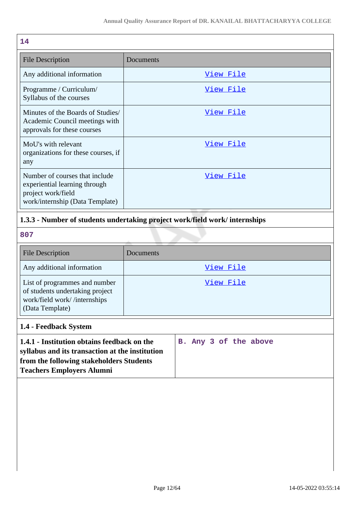| 14                                                                                                                       |           |
|--------------------------------------------------------------------------------------------------------------------------|-----------|
| <b>File Description</b>                                                                                                  | Documents |
| Any additional information                                                                                               | View File |
| Programme / Curriculum/<br>Syllabus of the courses                                                                       | View File |
| Minutes of the Boards of Studies/<br>Academic Council meetings with<br>approvals for these courses                       | View File |
| MoU's with relevant<br>organizations for these courses, if<br>any                                                        | View File |
| Number of courses that include<br>experiential learning through<br>project work/field<br>work/internship (Data Template) | View File |

# **1.3.3 - Number of students undertaking project work/field work/ internships**

**807**

| <b>File Description</b>                                                                                             | Documents |
|---------------------------------------------------------------------------------------------------------------------|-----------|
| Any additional information                                                                                          | View File |
| List of programmes and number<br>of students undertaking project<br>work/field work//internships<br>(Data Template) | View File |

# **1.4 - Feedback System**

|  |  | B. Any 3 of the above |
|--|--|-----------------------|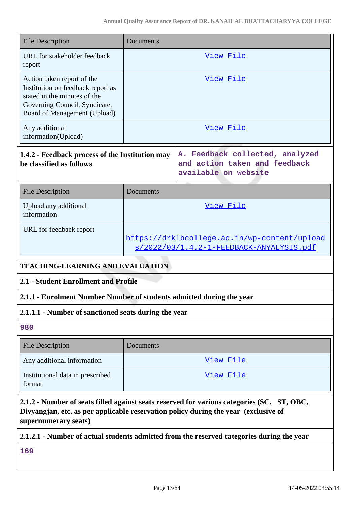| <b>File Description</b>                                                                                                                                                                                   | Documents                                                                                       |                                                                                           |  |  |
|-----------------------------------------------------------------------------------------------------------------------------------------------------------------------------------------------------------|-------------------------------------------------------------------------------------------------|-------------------------------------------------------------------------------------------|--|--|
| URL for stakeholder feedback<br>report                                                                                                                                                                    | <u>View File</u>                                                                                |                                                                                           |  |  |
| Action taken report of the<br>Institution on feedback report as<br>stated in the minutes of the<br>Governing Council, Syndicate,<br>Board of Management (Upload)                                          | View File                                                                                       |                                                                                           |  |  |
| Any additional<br>information(Upload)                                                                                                                                                                     | View File                                                                                       |                                                                                           |  |  |
| 1.4.2 - Feedback process of the Institution may<br>be classified as follows                                                                                                                               |                                                                                                 | A. Feedback collected, analyzed<br>and action taken and feedback<br>available on website  |  |  |
| <b>File Description</b>                                                                                                                                                                                   | Documents                                                                                       |                                                                                           |  |  |
| Upload any additional<br>information                                                                                                                                                                      | View File                                                                                       |                                                                                           |  |  |
| URL for feedback report                                                                                                                                                                                   | https://drklbcollege.ac.in/wp-content/upload<br><u>s/2022/03/1.4.2-1-FEEDBACK-ANYALYSIS.pdf</u> |                                                                                           |  |  |
| <b>TEACHING-LEARNING AND EVALUATION</b>                                                                                                                                                                   |                                                                                                 |                                                                                           |  |  |
| 2.1 - Student Enrollment and Profile                                                                                                                                                                      |                                                                                                 |                                                                                           |  |  |
| 2.1.1 - Enrolment Number Number of students admitted during the year                                                                                                                                      |                                                                                                 |                                                                                           |  |  |
| 2.1.1.1 - Number of sanctioned seats during the year                                                                                                                                                      |                                                                                                 |                                                                                           |  |  |
| 980                                                                                                                                                                                                       |                                                                                                 |                                                                                           |  |  |
| <b>File Description</b>                                                                                                                                                                                   | Documents                                                                                       |                                                                                           |  |  |
| Any additional information                                                                                                                                                                                |                                                                                                 | <u>View File</u>                                                                          |  |  |
| Institutional data in prescribed<br>format                                                                                                                                                                |                                                                                                 | View File                                                                                 |  |  |
| 2.1.2 - Number of seats filled against seats reserved for various categories (SC, ST, OBC,<br>Divyangjan, etc. as per applicable reservation policy during the year (exclusive of<br>supernumerary seats) |                                                                                                 |                                                                                           |  |  |
|                                                                                                                                                                                                           |                                                                                                 | 2.1.2.1 - Number of actual students admitted from the reserved categories during the year |  |  |

**169**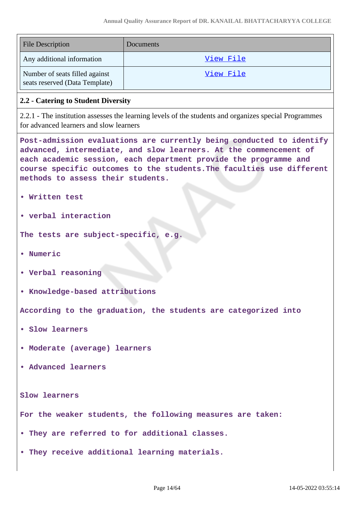| <b>File Description</b>                                          | <b>Documents</b> |
|------------------------------------------------------------------|------------------|
| Any additional information                                       | View File        |
| Number of seats filled against<br>seats reserved (Data Template) | View File        |

#### **2.2 - Catering to Student Diversity**

2.2.1 - The institution assesses the learning levels of the students and organizes special Programmes for advanced learners and slow learners

**Post-admission evaluations are currently being conducted to identify advanced, intermediate, and slow learners. At the commencement of each academic session, each department provide the programme and course specific outcomes to the students.The faculties use different methods to assess their students.**

- **Written test**
- **verbal interaction**

**The tests are subject-specific, e.g.**

- **Numeric**
- **Verbal reasoning**
- **Knowledge-based attributions**

**According to the graduation, the students are categorized into**

- **Slow learners**
- **Moderate (average) learners**
- **Advanced learners**

**Slow learners**

**For the weaker students, the following measures are taken:**

- **They are referred to for additional classes.**
- **They receive additional learning materials.**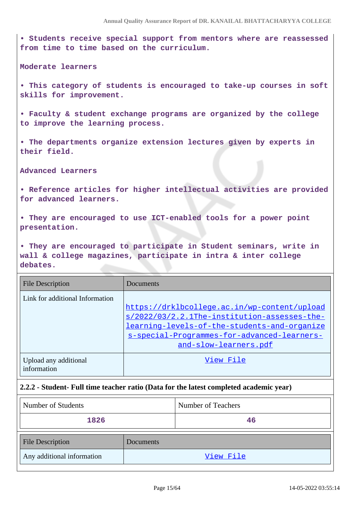**• Students receive special support from mentors where are reassessed from time to time based on the curriculum.**

**Moderate learners**

**• This category of students is encouraged to take-up courses in soft skills for improvement.**

**• Faculty & student exchange programs are organized by the college to improve the learning process.**

**• The departments organize extension lectures given by experts in their field.**

**Advanced Learners**

**• Reference articles for higher intellectual activities are provided for advanced learners.**

**• They are encouraged to use ICT-enabled tools for a power point presentation.**

**• They are encouraged to participate in Student seminars, write in wall & college magazines, participate in intra & inter college debates.**

| <b>File Description</b>              | Documents                                                                                                                                                                                                            |
|--------------------------------------|----------------------------------------------------------------------------------------------------------------------------------------------------------------------------------------------------------------------|
| Link for additional Information      | https://drklbcollege.ac.in/wp-content/upload<br>s/2022/03/2.2.1The-institution-assesses-the-<br>learning-levels-of-the-students-and-organize<br>s-special-Programmes-for-advanced-learners-<br>and-slow-learners.pdf |
| Upload any additional<br>information | View File                                                                                                                                                                                                            |

### **2.2.2 - Student- Full time teacher ratio (Data for the latest completed academic year)**

| Number of Students         |           | Number of Teachers |
|----------------------------|-----------|--------------------|
| 1826                       |           | 46                 |
| <b>File Description</b>    | Documents |                    |
| Any additional information |           | View File          |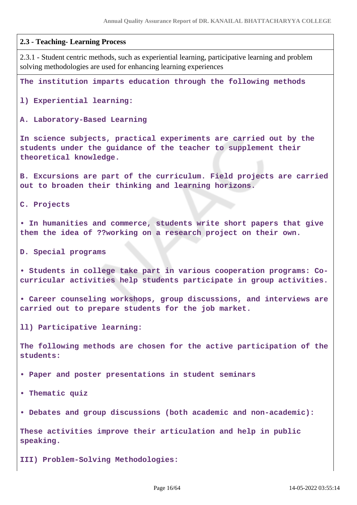| 2.3 - Teaching- Learning Process                                                                                                                                        |
|-------------------------------------------------------------------------------------------------------------------------------------------------------------------------|
| 2.3.1 - Student centric methods, such as experiential learning, participative learning and problem<br>solving methodologies are used for enhancing learning experiences |
| The institution imparts education through the following methods                                                                                                         |
| 1) Experiential learning:                                                                                                                                               |
| A. Laboratory-Based Learning                                                                                                                                            |
| In science subjects, practical experiments are carried out by the<br>students under the guidance of the teacher to supplement their<br>theoretical knowledge.           |
| B. Excursions are part of the curriculum. Field projects are carried<br>out to broaden their thinking and learning horizons.                                            |
| C. Projects                                                                                                                                                             |
| . In humanities and commerce, students write short papers that give<br>them the idea of ??working on a research project on their own.                                   |
| D. Special programs                                                                                                                                                     |
| · Students in college take part in various cooperation programs: Co-<br>curricular activities help students participate in group activities.                            |
| • Career counseling workshops, group discussions, and interviews are<br>carried out to prepare students for the job market.                                             |
| 11) Participative learning:                                                                                                                                             |
| The following methods are chosen for the active participation of the<br>students:                                                                                       |
| • Paper and poster presentations in student seminars                                                                                                                    |
| • Thematic quiz                                                                                                                                                         |
| . Debates and group discussions (both academic and non-academic):                                                                                                       |
| These activities improve their articulation and help in public<br>speaking.                                                                                             |

**III) Problem-Solving Methodologies:**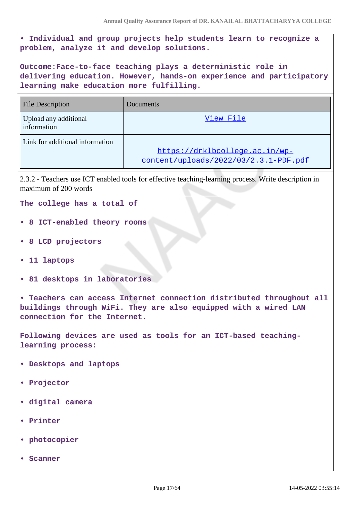**• Individual and group projects help students learn to recognize a problem, analyze it and develop solutions.**

**Outcome:Face-to-face teaching plays a deterministic role in delivering education. However, hands-on experience and participatory learning make education more fulfilling.**

| <b>File Description</b>              | <b>Documents</b>                                                        |
|--------------------------------------|-------------------------------------------------------------------------|
| Upload any additional<br>information | View File                                                               |
| Link for additional information      | https://drklbcollege.ac.in/wp-<br>content/uploads/2022/03/2.3.1-PDF.pdf |

2.3.2 - Teachers use ICT enabled tools for effective teaching-learning process. Write description in maximum of 200 words

**The college has a total of**

- **8 ICT-enabled theory rooms**
- **8 LCD projectors**
- **11 laptops**
- **81 desktops in laboratories**

**• Teachers can access Internet connection distributed throughout all buildings through WiFi. They are also equipped with a wired LAN connection for the Internet.**

**Following devices are used as tools for an ICT-based teachinglearning process:**

- **Desktops and laptops**
- **Projector**
- **digital camera**
- **Printer**
- **photocopier**
- **Scanner**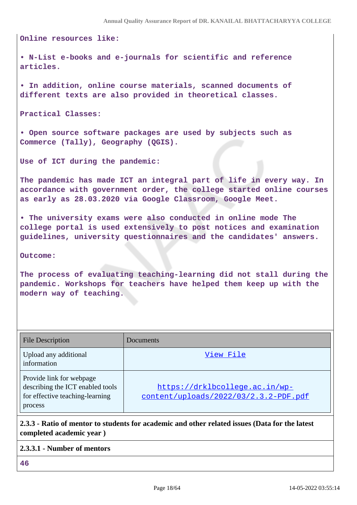**Online resources like:**

**• N-List e-books and e-journals for scientific and reference articles.**

**• In addition, online course materials, scanned documents of different texts are also provided in theoretical classes.**

**Practical Classes:**

**• Open source software packages are used by subjects such as Commerce (Tally), Geography (QGIS).**

**Use of ICT during the pandemic:**

**The pandemic has made ICT an integral part of life in every way. In accordance with government order, the college started online courses as early as 28.03.2020 via Google Classroom, Google Meet.**

**• The university exams were also conducted in online mode The college portal is used extensively to post notices and examination guidelines, university questionnaires and the candidates' answers.**

**Outcome:**

**The process of evaluating teaching-learning did not stall during the pandemic. Workshops for teachers have helped them keep up with the modern way of teaching.**

| <b>File Description</b>                                                                                    | Documents                                                               |
|------------------------------------------------------------------------------------------------------------|-------------------------------------------------------------------------|
| Upload any additional<br>information                                                                       | View File                                                               |
| Provide link for webpage<br>describing the ICT enabled tools<br>for effective teaching-learning<br>process | https://drklbcollege.ac.in/wp-<br>content/uploads/2022/03/2.3.2-PDF.pdf |

# **2.3.3 - Ratio of mentor to students for academic and other related issues (Data for the latest completed academic year )**

| 2.3.3.1 - Number of mentors |  |
|-----------------------------|--|
| 46                          |  |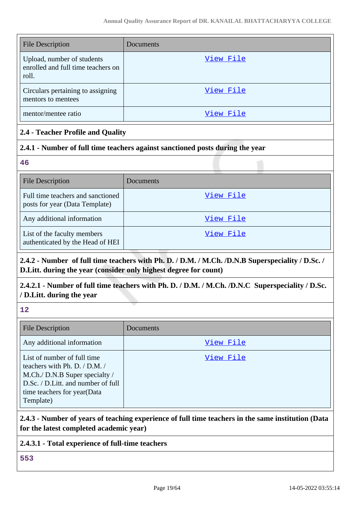| <b>File Description</b>                                                   | Documents |
|---------------------------------------------------------------------------|-----------|
| Upload, number of students<br>enrolled and full time teachers on<br>roll. | View File |
| Circulars pertaining to assigning<br>mentors to mentees                   | View File |
| mentor/mentee ratio                                                       | View File |

# **2.4 - Teacher Profile and Quality**

# **2.4.1 - Number of full time teachers against sanctioned posts during the year**

**46**

| <b>File Description</b>                                             | Documents |
|---------------------------------------------------------------------|-----------|
| Full time teachers and sanctioned<br>posts for year (Data Template) | View File |
| Any additional information                                          | View File |
| List of the faculty members<br>authenticated by the Head of HEI     | View File |

# **2.4.2 - Number of full time teachers with Ph. D. / D.M. / M.Ch. /D.N.B Superspeciality / D.Sc. / D.Litt. during the year (consider only highest degree for count)**

# **2.4.2.1 - Number of full time teachers with Ph. D. / D.M. / M.Ch. /D.N.C Superspeciality / D.Sc. / D.Litt. during the year**

**12**

| <b>File Description</b>                                                                                                                                                          | Documents |
|----------------------------------------------------------------------------------------------------------------------------------------------------------------------------------|-----------|
| Any additional information                                                                                                                                                       | View File |
| List of number of full time<br>teachers with Ph. D. / D.M. /<br>M.Ch./ D.N.B Super specialty /<br>D.Sc. / D.Litt. and number of full<br>time teachers for year(Data<br>Template) | View File |

# **2.4.3 - Number of years of teaching experience of full time teachers in the same institution (Data for the latest completed academic year)**

# **2.4.3.1 - Total experience of full-time teachers**

**553**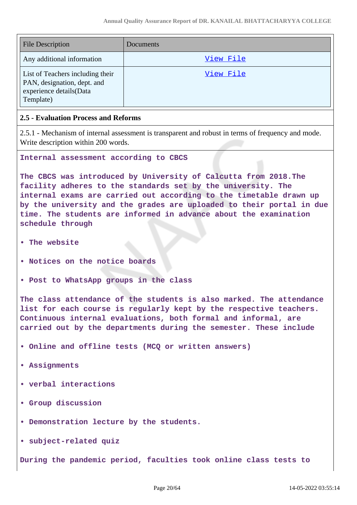| <b>File Description</b>                                                                                 | Documents |
|---------------------------------------------------------------------------------------------------------|-----------|
| Any additional information                                                                              | View File |
| List of Teachers including their<br>PAN, designation, dept. and<br>experience details(Data<br>Template) | View File |

### **2.5 - Evaluation Process and Reforms**

2.5.1 - Mechanism of internal assessment is transparent and robust in terms of frequency and mode. Write description within 200 words.

**Internal assessment according to CBCS**

**The CBCS was introduced by University of Calcutta from 2018.The facility adheres to the standards set by the university. The internal exams are carried out according to the timetable drawn up by the university and the grades are uploaded to their portal in due time. The students are informed in advance about the examination schedule through**

- **The website**
- **Notices on the notice boards**
- **Post to WhatsApp groups in the class**

**The class attendance of the students is also marked. The attendance list for each course is regularly kept by the respective teachers. Continuous internal evaluations, both formal and informal, are carried out by the departments during the semester. These include**

- **Online and offline tests (MCQ or written answers)**
- **Assignments**
- **verbal interactions**
- **Group discussion**
- **Demonstration lecture by the students.**
- **subject-related quiz**

**During the pandemic period, faculties took online class tests to**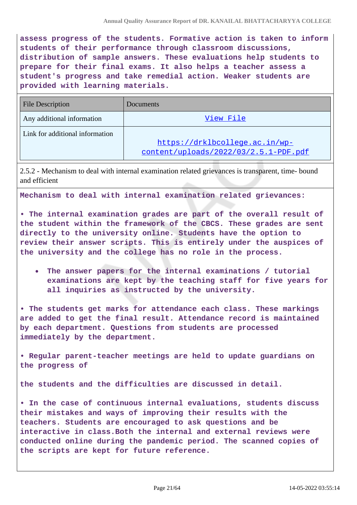**assess progress of the students. Formative action is taken to inform students of their performance through classroom discussions, distribution of sample answers. These evaluations help students to prepare for their final exams. It also helps a teacher assess a student's progress and take remedial action. Weaker students are provided with learning materials.**

| <b>File Description</b>         | Documents                             |
|---------------------------------|---------------------------------------|
| Any additional information      | View File                             |
| Link for additional information |                                       |
|                                 | https://drklbcollege.ac.in/wp-        |
|                                 | content/uploads/2022/03/2.5.1-PDF.pdf |

2.5.2 - Mechanism to deal with internal examination related grievances is transparent, time- bound and efficient

**Mechanism to deal with internal examination related grievances:**

**• The internal examination grades are part of the overall result of the student within the framework of the CBCS. These grades are sent directly to the university online. Students have the option to review their answer scripts. This is entirely under the auspices of the university and the college has no role in the process.**

**The answer papers for the internal examinations / tutorial examinations are kept by the teaching staff for five years for all inquiries as instructed by the university.**

**• The students get marks for attendance each class. These markings are added to get the final result. Attendance record is maintained by each department. Questions from students are processed immediately by the department.**

**• Regular parent-teacher meetings are held to update guardians on the progress of**

**the students and the difficulties are discussed in detail.**

**• In the case of continuous internal evaluations, students discuss their mistakes and ways of improving their results with the teachers. Students are encouraged to ask questions and be interactive in class.Both the internal and external reviews were conducted online during the pandemic period. The scanned copies of the scripts are kept for future reference.**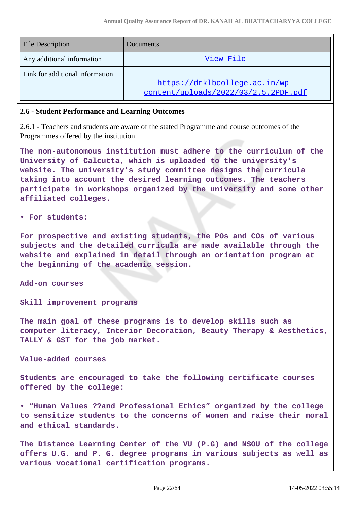| <b>File Description</b>         | Documents                            |
|---------------------------------|--------------------------------------|
| Any additional information      | View File                            |
| Link for additional information |                                      |
|                                 | https://drklbcollege.ac.in/wp-       |
|                                 | content/uploads/2022/03/2.5.2PDF.pdf |

#### **2.6 - Student Performance and Learning Outcomes**

2.6.1 - Teachers and students are aware of the stated Programme and course outcomes of the Programmes offered by the institution.

**The non-autonomous institution must adhere to the curriculum of the University of Calcutta, which is uploaded to the university's website. The university's study committee designs the curricula taking into account the desired learning outcomes. The teachers participate in workshops organized by the university and some other affiliated colleges.**

#### **• For students:**

**For prospective and existing students, the POs and COs of various subjects and the detailed curricula are made available through the website and explained in detail through an orientation program at the beginning of the academic session.**

**Add-on courses**

**Skill improvement programs**

**The main goal of these programs is to develop skills such as computer literacy, Interior Decoration, Beauty Therapy & Aesthetics, TALLY & GST for the job market.**

**Value-added courses**

**Students are encouraged to take the following certificate courses offered by the college:**

**• "Human Values ??and Professional Ethics" organized by the college to sensitize students to the concerns of women and raise their moral and ethical standards.**

**The Distance Learning Center of the VU (P.G) and NSOU of the college offers U.G. and P. G. degree programs in various subjects as well as various vocational certification programs.**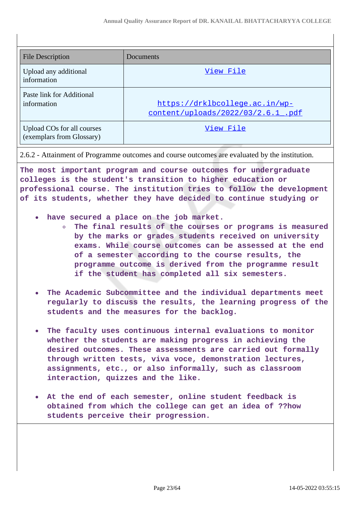| File Description                                        | Documents                                                            |
|---------------------------------------------------------|----------------------------------------------------------------------|
| Upload any additional<br>information                    | View File                                                            |
| Paste link for Additional<br>information                | https://drklbcollege.ac.in/wp-<br>content/uploads/2022/03/2.6.1 .pdf |
| Upload COs for all courses<br>(exemplars from Glossary) | View File                                                            |

**The most important program and course outcomes for undergraduate**

**colleges is the student's transition to higher education or professional course. The institution tries to follow the development of its students, whether they have decided to continue studying or**

- **have secured a place on the job market.**
	- **The final results of the courses or programs is measured by the marks or grades students received on university exams. While course outcomes can be assessed at the end of a semester according to the course results, the programme outcome is derived from the programme result if the student has completed all six semesters.**
- **The Academic Subcommittee and the individual departments meet**  $\bullet$ **regularly to discuss the results, the learning progress of the students and the measures for the backlog.**
- **The faculty uses continuous internal evaluations to monitor**  $\bullet$ **whether the students are making progress in achieving the desired outcomes. These assessments are carried out formally through written tests, viva voce, demonstration lectures, assignments, etc., or also informally, such as classroom interaction, quizzes and the like.**
- **At the end of each semester, online student feedback is obtained from which the college can get an idea of ??how students perceive their progression.**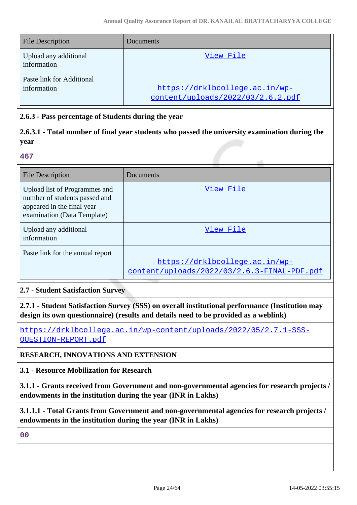| <b>File Description</b>                  | <b>Documents</b>                                                    |
|------------------------------------------|---------------------------------------------------------------------|
| Upload any additional<br>information     | View File                                                           |
| Paste link for Additional<br>information | https://drklbcollege.ac.in/wp-<br>content/uploads/2022/03/2.6.2.pdf |

# **2.6.3 - Pass percentage of Students during the year**

# **2.6.3.1 - Total number of final year students who passed the university examination during the year**

**467**

| <b>File Description</b>                                                                                                     | Documents                                                                     |
|-----------------------------------------------------------------------------------------------------------------------------|-------------------------------------------------------------------------------|
| Upload list of Programmes and<br>number of students passed and<br>appeared in the final year<br>examination (Data Template) | View File                                                                     |
| Upload any additional<br>information                                                                                        | View File                                                                     |
| Paste link for the annual report                                                                                            | https://drklbcollege.ac.in/wp-<br>content/uploads/2022/03/2.6.3-FINAL-PDF.pdf |

# **2.7 - Student Satisfaction Survey**

**2.7.1 - Student Satisfaction Survey (SSS) on overall institutional performance (Institution may design its own questionnaire) (results and details need to be provided as a weblink)**

[https://drklbcollege.ac.in/wp-content/uploads/2022/05/2.7.1-SSS-](https://drklbcollege.ac.in/wp-content/uploads/2022/05/2.7.1-SSS-QUESTION-REPORT.pdf)[QUESTION-REPORT.pdf](https://drklbcollege.ac.in/wp-content/uploads/2022/05/2.7.1-SSS-QUESTION-REPORT.pdf)

# **RESEARCH, INNOVATIONS AND EXTENSION**

# **3.1 - Resource Mobilization for Research**

**3.1.1 - Grants received from Government and non-governmental agencies for research projects / endowments in the institution during the year (INR in Lakhs)**

**3.1.1.1 - Total Grants from Government and non-governmental agencies for research projects / endowments in the institution during the year (INR in Lakhs)**

**00**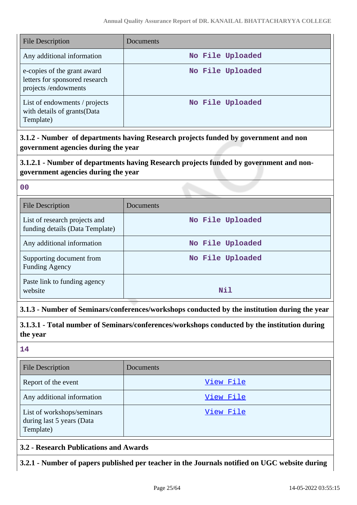| <b>File Description</b>                                                              | Documents        |
|--------------------------------------------------------------------------------------|------------------|
| Any additional information                                                           | No File Uploaded |
| e-copies of the grant award<br>letters for sponsored research<br>projects/endowments | No File Uploaded |
| List of endowments / projects<br>with details of grants (Data<br>Template)           | No File Uploaded |

**3.1.2 - Number of departments having Research projects funded by government and non government agencies during the year**

# **3.1.2.1 - Number of departments having Research projects funded by government and nongovernment agencies during the year**

| P.                 | w                 |  |
|--------------------|-------------------|--|
| ×<br>۰.<br>۰.<br>v | ×<br>I<br>۰.<br>× |  |
|                    |                   |  |

| <b>File Description</b>                                          | Documents        |
|------------------------------------------------------------------|------------------|
| List of research projects and<br>funding details (Data Template) | No File Uploaded |
| Any additional information                                       | No File Uploaded |
| Supporting document from<br><b>Funding Agency</b>                | No File Uploaded |
| Paste link to funding agency<br>website                          | Nil              |

# **3.1.3 - Number of Seminars/conferences/workshops conducted by the institution during the year**

**3.1.3.1 - Total number of Seminars/conferences/workshops conducted by the institution during the year**

**14**

| <b>File Description</b>                                              | <b>Documents</b> |
|----------------------------------------------------------------------|------------------|
| Report of the event                                                  | View File        |
| Any additional information                                           | View File        |
| List of workshops/seminars<br>during last 5 years (Data<br>Template) | View File        |

# **3.2 - Research Publications and Awards**

**3.2.1 - Number of papers published per teacher in the Journals notified on UGC website during**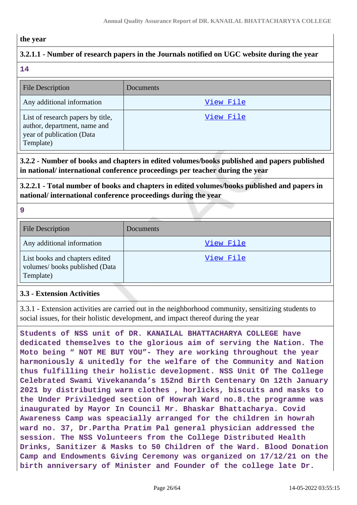### **the year**

# **3.2.1.1 - Number of research papers in the Journals notified on UGC website during the year**

**14**

| <b>File Description</b>                                                                                     | <b>Documents</b> |
|-------------------------------------------------------------------------------------------------------------|------------------|
| Any additional information                                                                                  | View File        |
| List of research papers by title,<br>author, department, name and<br>year of publication (Data<br>Template) | View File        |

# **3.2.2 - Number of books and chapters in edited volumes/books published and papers published in national/ international conference proceedings per teacher during the year**

**3.2.2.1 - Total number of books and chapters in edited volumes/books published and papers in national/ international conference proceedings during the year**

**9**

| <b>File Description</b>                                                      | <b>Documents</b> |
|------------------------------------------------------------------------------|------------------|
| Any additional information                                                   | View File        |
| List books and chapters edited<br>volumes/books published (Data<br>Template) | View File        |

# **3.3 - Extension Activities**

3.3.1 - Extension activities are carried out in the neighborhood community, sensitizing students to social issues, for their holistic development, and impact thereof during the year

**Students of NSS unit of DR. KANAILAL BHATTACHARYA COLLEGE have dedicated themselves to the glorious aim of serving the Nation. The Moto being " NOT ME BUT YOU"- They are working throughout the year harmoniously & unitedly for the welfare of the Community and Nation thus fulfilling their holistic development. NSS Unit Of The College Celebrated Swami Vivekananda's 152nd Birth Centenary On 12th January 2021 by distributing warm clothes , horlicks, biscuits and masks to the Under Priviledged section of Howrah Ward no.8.the programme was inaugurated by Mayor In Council Mr. Bhaskar Bhattacharya. Covid Awareness Camp was speacially arranged for the children in howrah ward no. 37, Dr.Partha Pratim Pal general physician addressed the session. The NSS Volunteers from the College Distributed Health Drinks, Sanitizer & Masks to 50 Children of the Ward. Blood Donation Camp and Endowments Giving Ceremony was organized on 17/12/21 on the birth anniversary of Minister and Founder of the college late Dr.**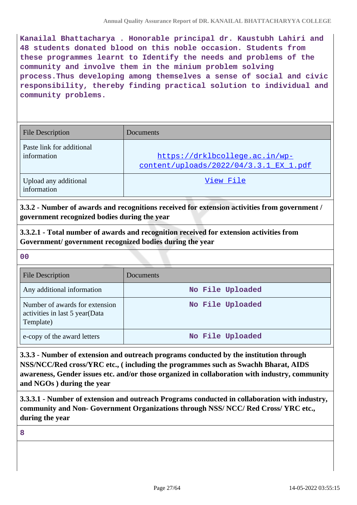**Kanailal Bhattacharya . Honorable principal dr. Kaustubh Lahiri and 48 students donated blood on this noble occasion. Students from these programmes learnt to Identify the needs and problems of the community and involve them in the minium problem solving process.Thus developing among themselves a sense of social and civic responsibility, thereby finding practical solution to individual and community problems.**

| <b>File Description</b>                  | Documents                                                                |  |  |
|------------------------------------------|--------------------------------------------------------------------------|--|--|
| Paste link for additional<br>information | https://drklbcollege.ac.in/wp-<br>content/uploads/2022/04/3.3.1 EX 1.pdf |  |  |
| Upload any additional<br>information     | View File                                                                |  |  |

**3.3.2 - Number of awards and recognitions received for extension activities from government / government recognized bodies during the year**

**3.3.2.1 - Total number of awards and recognition received for extension activities from Government/ government recognized bodies during the year**

**00**

| <b>File Description</b>                                                       | Documents        |
|-------------------------------------------------------------------------------|------------------|
| Any additional information                                                    | No File Uploaded |
| Number of awards for extension<br>activities in last 5 year(Data<br>Template) | No File Uploaded |
| e-copy of the award letters                                                   | No File Uploaded |

**3.3.3 - Number of extension and outreach programs conducted by the institution through NSS/NCC/Red cross/YRC etc., ( including the programmes such as Swachh Bharat, AIDS awareness, Gender issues etc. and/or those organized in collaboration with industry, community and NGOs ) during the year**

**3.3.3.1 - Number of extension and outreach Programs conducted in collaboration with industry, community and Non- Government Organizations through NSS/ NCC/ Red Cross/ YRC etc., during the year**

**8**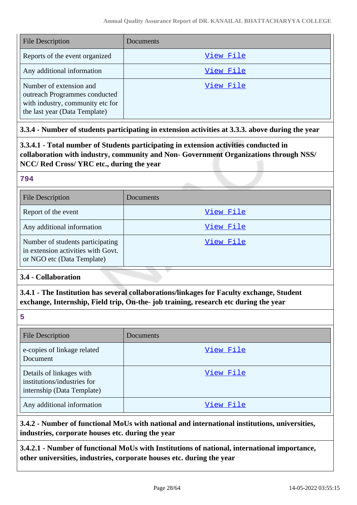| <b>File Description</b>                                                                                                       | Documents |
|-------------------------------------------------------------------------------------------------------------------------------|-----------|
| Reports of the event organized                                                                                                | View File |
| Any additional information                                                                                                    | View File |
| Number of extension and<br>outreach Programmes conducted<br>with industry, community etc for<br>the last year (Data Template) | View File |

# **3.3.4 - Number of students participating in extension activities at 3.3.3. above during the year**

**3.3.4.1 - Total number of Students participating in extension activities conducted in collaboration with industry, community and Non- Government Organizations through NSS/ NCC/ Red Cross/ YRC etc., during the year**

### **794**

| <b>File Description</b>                                                                              | Documents |
|------------------------------------------------------------------------------------------------------|-----------|
| Report of the event                                                                                  | View File |
| Any additional information                                                                           | View File |
| Number of students participating<br>in extension activities with Govt.<br>or NGO etc (Data Template) | View File |

# **3.4 - Collaboration**

# **3.4.1 - The Institution has several collaborations/linkages for Faculty exchange, Student exchange, Internship, Field trip, On-the- job training, research etc during the year**

**5**

| <b>File Description</b>                                                               | Documents |
|---------------------------------------------------------------------------------------|-----------|
| e-copies of linkage related<br>Document                                               | View File |
| Details of linkages with<br>institutions/industries for<br>internship (Data Template) | View File |
| Any additional information                                                            | View File |

# **3.4.2 - Number of functional MoUs with national and international institutions, universities, industries, corporate houses etc. during the year**

**3.4.2.1 - Number of functional MoUs with Institutions of national, international importance, other universities, industries, corporate houses etc. during the year**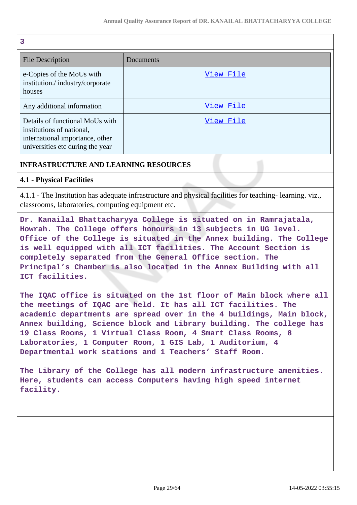| 3                                                                                                                                   |           |
|-------------------------------------------------------------------------------------------------------------------------------------|-----------|
| File Description                                                                                                                    | Documents |
| e-Copies of the MoUs with<br>institution./industry/corporate<br>houses                                                              | View File |
| Any additional information                                                                                                          | View File |
| Details of functional MoUs with<br>institutions of national,<br>international importance, other<br>universities etc during the year | View File |

# **INFRASTRUCTURE AND LEARNING RESOURCES**

# **4.1 - Physical Facilities**

4.1.1 - The Institution has adequate infrastructure and physical facilities for teaching- learning. viz., classrooms, laboratories, computing equipment etc.

**Dr. Kanailal Bhattacharyya College is situated on in Ramrajatala, Howrah. The College offers honours in 13 subjects in UG level. Office of the College is situated in the Annex building. The College is well equipped with all ICT facilities. The Account Section is completely separated from the General Office section. The Principal's Chamber is also located in the Annex Building with all ICT facilities.**

**The IQAC office is situated on the 1st floor of Main block where all the meetings of IQAC are held. It has all ICT facilities. The academic departments are spread over in the 4 buildings, Main block, Annex building, Science block and Library building. The college has 19 Class Rooms, 1 Virtual Class Room, 4 Smart Class Rooms, 8 Laboratories, 1 Computer Room, 1 GIS Lab, 1 Auditorium, 4 Departmental work stations and 1 Teachers' Staff Room.**

**The Library of the College has all modern infrastructure amenities. Here, students can access Computers having high speed internet facility.**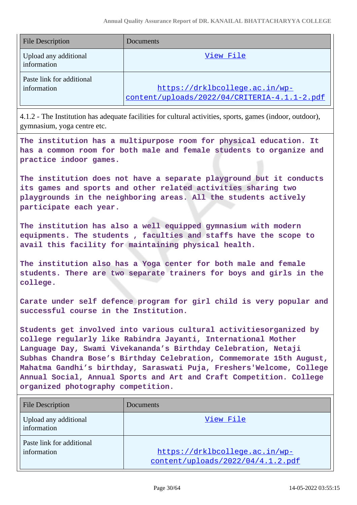| <b>File Description</b>                  | Documents                                                                      |
|------------------------------------------|--------------------------------------------------------------------------------|
| Upload any additional<br>information     | View File                                                                      |
| Paste link for additional<br>information | https://drklbcollege.ac.in/wp-<br>content/uploads/2022/04/CRITERIA-4.1.1-2.pdf |

4.1.2 - The Institution has adequate facilities for cultural activities, sports, games (indoor, outdoor), gymnasium, yoga centre etc.

**The institution has a multipurpose room for physical education. It has a common room for both male and female students to organize and practice indoor games.**

**The institution does not have a separate playground but it conducts its games and sports and other related activities sharing two playgrounds in the neighboring areas. All the students actively participate each year.**

**The institution has also a well equipped gymnasium with modern equipments. The students , faculties and staffs have the scope to avail this facility for maintaining physical health.**

**The institution also has a Yoga center for both male and female students. There are two separate trainers for boys and girls in the college.**

**Carate under self defence program for girl child is very popular and successful course in the Institution.**

**Students get involved into various cultural activitiesorganized by college regularly like Rabindra Jayanti, International Mother Language Day, Swami Vivekananda's Birthday Celebration, Netaji Subhas Chandra Bose's Birthday Celebration, Commemorate 15th August, Mahatma Gandhi's birthday, Saraswati Puja, Freshers'Welcome, College Annual Social, Annual Sports and Art and Craft Competition. College organized photography competition.**

| <b>File Description</b>                  | Documents                                                           |
|------------------------------------------|---------------------------------------------------------------------|
| Upload any additional<br>information     | View File                                                           |
| Paste link for additional<br>information | https://drklbcollege.ac.in/wp-<br>content/uploads/2022/04/4.1.2.pdf |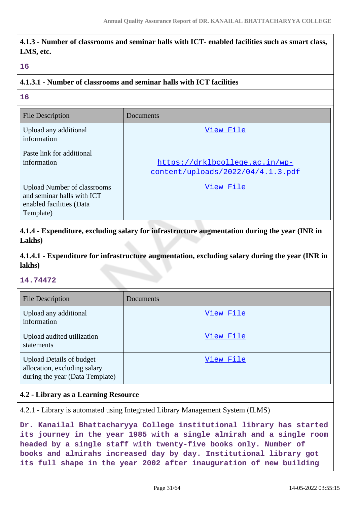|           | 4.1.3 - Number of classrooms and seminar halls with ICT- enabled facilities such as smart class, |  |  |  |
|-----------|--------------------------------------------------------------------------------------------------|--|--|--|
| LMS, etc. |                                                                                                  |  |  |  |

#### **16**

### **4.1.3.1 - Number of classrooms and seminar halls with ICT facilities**

**16**

| <b>File Description</b>                                                                                   | Documents                                                           |
|-----------------------------------------------------------------------------------------------------------|---------------------------------------------------------------------|
| Upload any additional<br>information                                                                      | View File                                                           |
| Paste link for additional<br>information                                                                  | https://drklbcollege.ac.in/wp-<br>content/uploads/2022/04/4.1.3.pdf |
| <b>Upload Number of classrooms</b><br>and seminar halls with ICT<br>enabled facilities (Data<br>Template) | View File                                                           |

**4.1.4 - Expenditure, excluding salary for infrastructure augmentation during the year (INR in Lakhs)**

**4.1.4.1 - Expenditure for infrastructure augmentation, excluding salary during the year (INR in lakhs)**

### **14.74472**

| <b>File Description</b>                                                                            | Documents |
|----------------------------------------------------------------------------------------------------|-----------|
| Upload any additional<br>information                                                               | View File |
| Upload audited utilization<br>statements                                                           | View File |
| <b>Upload Details of budget</b><br>allocation, excluding salary<br>during the year (Data Template) | View File |

### **4.2 - Library as a Learning Resource**

4.2.1 - Library is automated using Integrated Library Management System (ILMS)

**Dr. Kanailal Bhattacharyya College institutional library has started its journey in the year 1985 with a single almirah and a single room headed by a single staff with twenty-five books only. Number of books and almirahs increased day by day. Institutional library got its full shape in the year 2002 after inauguration of new building**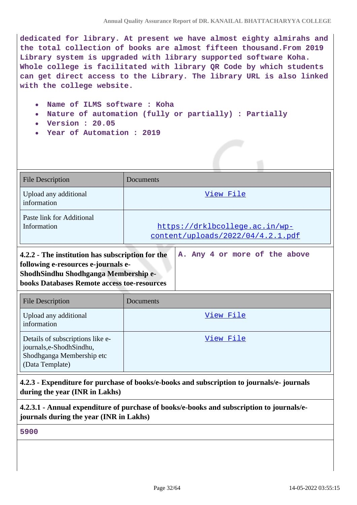**dedicated for library. At present we have almost eighty almirahs and the total collection of books are almost fifteen thousand.From 2019 Library system is upgraded with library supported software Koha. Whole college is facilitated with library QR Code by which students can get direct access to the Library. The library URL is also linked with the college website.**

- **Name of ILMS software : Koha**
- **Nature of automation (fully or partially) : Partially**
- **Version : 20.05**
- **Year of Automation : 2019**

| <b>File Description</b>                                                                                                                                                               | Documents                                                           |  |  |
|---------------------------------------------------------------------------------------------------------------------------------------------------------------------------------------|---------------------------------------------------------------------|--|--|
| Upload any additional<br>information                                                                                                                                                  | View File                                                           |  |  |
| Paste link for Additional<br>Information                                                                                                                                              | https://drklbcollege.ac.in/wp-<br>content/uploads/2022/04/4.2.1.pdf |  |  |
| 4.2.2 - The institution has subscription for the<br>following e-resources e-journals e-<br>ShodhSindhu Shodhganga Membership e-<br><b>books Databases Remote access toe-resources</b> | A. Any 4 or more of the above                                       |  |  |
| <b>File Description</b>                                                                                                                                                               | Documents                                                           |  |  |
| Upload any additional<br>information                                                                                                                                                  | View File                                                           |  |  |
| Details of subscriptions like e-<br>journals,e-ShodhSindhu,<br>Shodhganga Membership etc<br>(Data Template)                                                                           | View File                                                           |  |  |

**4.2.3 - Expenditure for purchase of books/e-books and subscription to journals/e- journals during the year (INR in Lakhs)**

**4.2.3.1 - Annual expenditure of purchase of books/e-books and subscription to journals/ejournals during the year (INR in Lakhs)**

**5900**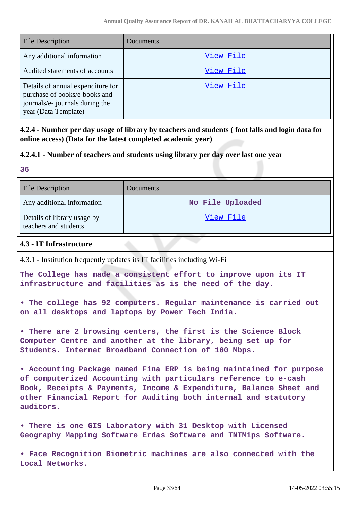| <b>File Description</b>                                                                                                       | Documents |
|-------------------------------------------------------------------------------------------------------------------------------|-----------|
| Any additional information                                                                                                    | View File |
| Audited statements of accounts                                                                                                | View File |
| Details of annual expenditure for<br>purchase of books/e-books and<br>journals/e- journals during the<br>year (Data Template) | View File |

**4.2.4 - Number per day usage of library by teachers and students ( foot falls and login data for online access) (Data for the latest completed academic year)**

# **4.2.4.1 - Number of teachers and students using library per day over last one year**

| ÷              |                   |
|----------------|-------------------|
| ٩<br>- 3<br>۰. | ۰,<br>×<br>٠<br>- |
|                |                   |

| File Description                                     | <b>Documents</b> |
|------------------------------------------------------|------------------|
| Any additional information                           | No File Uploaded |
| Details of library usage by<br>teachers and students | View File        |

# **4.3 - IT Infrastructure**

4.3.1 - Institution frequently updates its IT facilities including Wi-Fi

**The College has made a consistent effort to improve upon its IT infrastructure and facilities as is the need of the day.**

**• The college has 92 computers. Regular maintenance is carried out on all desktops and laptops by Power Tech India.**

**• There are 2 browsing centers, the first is the Science Block Computer Centre and another at the library, being set up for Students. Internet Broadband Connection of 100 Mbps.**

**• Accounting Package named Fina ERP is being maintained for purpose of computerized Accounting with particulars reference to e-cash Book, Receipts & Payments, Income & Expenditure, Balance Sheet and other Financial Report for Auditing both internal and statutory auditors.**

**• There is one GIS Laboratory with 31 Desktop with Licensed Geography Mapping Software Erdas Software and TNTMips Software.**

**• Face Recognition Biometric machines are also connected with the Local Networks.**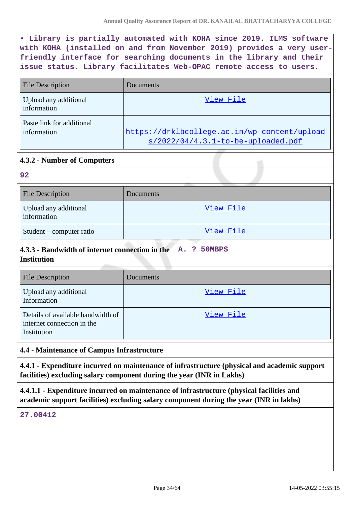**• Library is partially automated with KOHA since 2019. ILMS software with KOHA (installed on and from November 2019) provides a very userfriendly interface for searching documents in the library and their issue status. Library facilitates Web-OPAC remote access to users.**

| File Description                         | Documents                                                                             |
|------------------------------------------|---------------------------------------------------------------------------------------|
| Upload any additional<br>information     | View File                                                                             |
| Paste link for additional<br>information | https://drklbcollege.ac.in/wp-content/upload<br>$s/2022/04/4.3.1$ -to-be-uploaded.pdf |

# **4.3.2 - Number of Computers**

| 92                                   |           |
|--------------------------------------|-----------|
| <b>File Description</b>              | Documents |
| Upload any additional<br>information | View File |
| Student – computer ratio             | View File |

#### **4.3.3 - Bandwidth of internet connection in the Institution A. ? 50MBPS**

| <b>File Description</b>                                                        | Documents |
|--------------------------------------------------------------------------------|-----------|
| Upload any additional<br>Information                                           | View File |
| Details of available bandwidth of<br>internet connection in the<br>Institution | View File |

# **4.4 - Maintenance of Campus Infrastructure**

**4.4.1 - Expenditure incurred on maintenance of infrastructure (physical and academic support facilities) excluding salary component during the year (INR in Lakhs)**

**4.4.1.1 - Expenditure incurred on maintenance of infrastructure (physical facilities and academic support facilities) excluding salary component during the year (INR in lakhs)**

### **27.00412**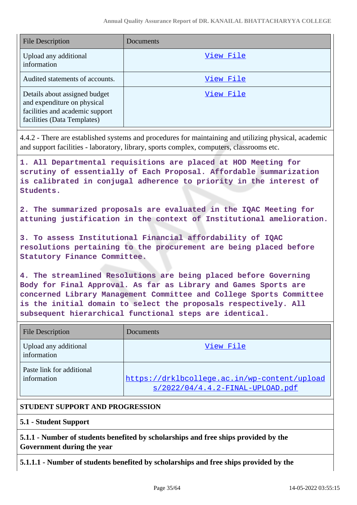| <b>File Description</b>                                                                                                        | Documents |
|--------------------------------------------------------------------------------------------------------------------------------|-----------|
| Upload any additional<br>information                                                                                           | View File |
| Audited statements of accounts.                                                                                                | View File |
| Details about assigned budget<br>and expenditure on physical<br>facilities and academic support<br>facilities (Data Templates) | View File |

4.4.2 - There are established systems and procedures for maintaining and utilizing physical, academic and support facilities - laboratory, library, sports complex, computers, classrooms etc.

**1. All Departmental requisitions are placed at HOD Meeting for scrutiny of essentially of Each Proposal. Affordable summarization is calibrated in conjugal adherence to priority in the interest of Students.**

**2. The summarized proposals are evaluated in the IQAC Meeting for attuning justification in the context of Institutional amelioration.**

**3. To assess Institutional Financial affordability of IQAC resolutions pertaining to the procurement are being placed before Statutory Finance Committee.**

**4. The streamlined Resolutions are being placed before Governing Body for Final Approval. As far as Library and Games Sports are concerned Library Management Committee and College Sports Committee is the initial domain to select the proposals respectively. All subsequent hierarchical functional steps are identical.**

| <b>File Description</b>                  | Documents                                                                          |
|------------------------------------------|------------------------------------------------------------------------------------|
| Upload any additional<br>information     | View File                                                                          |
| Paste link for additional<br>information | https://drklbcollege.ac.in/wp-content/upload<br>$s/2022/04/4.4.2-FINAL-UPLOAD.pdf$ |

# **STUDENT SUPPORT AND PROGRESSION**

# **5.1 - Student Support**

**5.1.1 - Number of students benefited by scholarships and free ships provided by the Government during the year**

**5.1.1.1 - Number of students benefited by scholarships and free ships provided by the**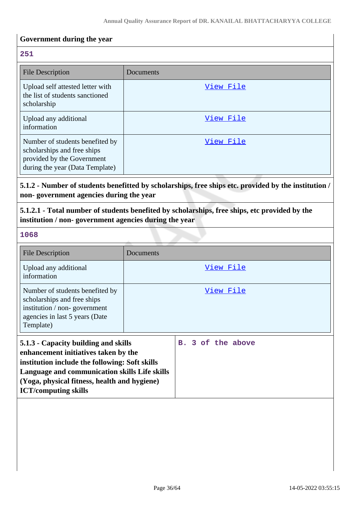# **Government during the year**

### **251**

| <b>File Description</b>                                                                                                         | Documents |
|---------------------------------------------------------------------------------------------------------------------------------|-----------|
| Upload self attested letter with<br>the list of students sanctioned<br>scholarship                                              | View File |
| Upload any additional<br>information                                                                                            | View File |
| Number of students benefited by<br>scholarships and free ships<br>provided by the Government<br>during the year (Data Template) | View File |

# **5.1.2 - Number of students benefitted by scholarships, free ships etc. provided by the institution / non- government agencies during the year**

**5.1.2.1 - Total number of students benefited by scholarships, free ships, etc provided by the institution / non- government agencies during the year**

#### **1068**

| <b>File Description</b>                                                                                                                                                                                                                                        | Documents         |
|----------------------------------------------------------------------------------------------------------------------------------------------------------------------------------------------------------------------------------------------------------------|-------------------|
| Upload any additional<br>information                                                                                                                                                                                                                           | View File         |
| Number of students benefited by<br>scholarships and free ships<br>institution / non-government<br>agencies in last 5 years (Date<br>Template)                                                                                                                  | View File         |
| 5.1.3 - Capacity building and skills<br>enhancement initiatives taken by the<br>institution include the following: Soft skills<br>Language and communication skills Life skills<br>(Yoga, physical fitness, health and hygiene)<br><b>ICT/computing skills</b> | B. 3 of the above |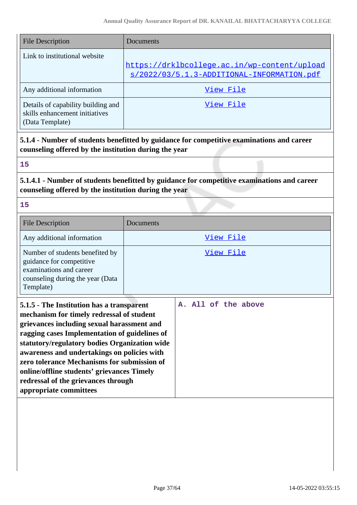| File Description                                                                        | Documents                                                                                  |
|-----------------------------------------------------------------------------------------|--------------------------------------------------------------------------------------------|
| Link to institutional website                                                           | https://drklbcollege.ac.in/wp-content/upload<br>s/2022/03/5.1.3-ADDITIONAL-INFORMATION.pdf |
| Any additional information                                                              | View File                                                                                  |
| Details of capability building and<br>skills enhancement initiatives<br>(Data Template) | View File                                                                                  |

**5.1.4 - Number of students benefitted by guidance for competitive examinations and career counseling offered by the institution during the year**

### **15**

# **5.1.4.1 - Number of students benefitted by guidance for competitive examinations and career counseling offered by the institution during the year**

**15**

| <b>File Description</b>                                                                                                                                                                                                                                                                                                                                                                                                                             | Documents           |
|-----------------------------------------------------------------------------------------------------------------------------------------------------------------------------------------------------------------------------------------------------------------------------------------------------------------------------------------------------------------------------------------------------------------------------------------------------|---------------------|
| Any additional information                                                                                                                                                                                                                                                                                                                                                                                                                          | <u>View File</u>    |
| Number of students benefited by<br>guidance for competitive<br>examinations and career<br>counseling during the year (Data<br>Template)                                                                                                                                                                                                                                                                                                             | View File           |
| 5.1.5 - The Institution has a transparent<br>mechanism for timely redressal of student<br>grievances including sexual harassment and<br>ragging cases Implementation of guidelines of<br>statutory/regulatory bodies Organization wide<br>awareness and undertakings on policies with<br>zero tolerance Mechanisms for submission of<br>online/offline students' grievances Timely<br>redressal of the grievances through<br>appropriate committees | A. All of the above |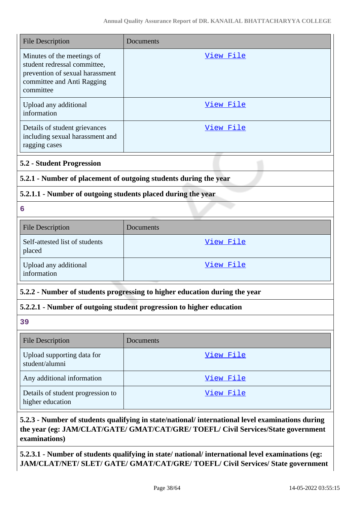| <b>File Description</b>                                                                                                                  | Documents                                                                  |  |
|------------------------------------------------------------------------------------------------------------------------------------------|----------------------------------------------------------------------------|--|
| Minutes of the meetings of<br>student redressal committee,<br>prevention of sexual harassment<br>committee and Anti Ragging<br>committee | <u>View File</u>                                                           |  |
| Upload any additional<br>information                                                                                                     | View File                                                                  |  |
| Details of student grievances<br>including sexual harassment and<br>ragging cases                                                        | View File                                                                  |  |
| <b>5.2 - Student Progression</b>                                                                                                         |                                                                            |  |
|                                                                                                                                          | 5.2.1 - Number of placement of outgoing students during the year           |  |
| 5.2.1.1 - Number of outgoing students placed during the year                                                                             |                                                                            |  |
| 6                                                                                                                                        |                                                                            |  |
| <b>File Description</b>                                                                                                                  | Documents                                                                  |  |
| Self-attested list of students<br>placed                                                                                                 | View File                                                                  |  |
| Upload any additional<br>information                                                                                                     | View File                                                                  |  |
|                                                                                                                                          | 5.2.2 - Number of students progressing to higher education during the year |  |
|                                                                                                                                          | 5.2.2.1 - Number of outgoing student progression to higher education       |  |
| 39                                                                                                                                       |                                                                            |  |
| <b>File Description</b>                                                                                                                  | Documents                                                                  |  |
| Upload supporting data for<br>student/alumni                                                                                             | View File                                                                  |  |
| Any additional information                                                                                                               | View File                                                                  |  |
| Details of student progression to<br>higher education                                                                                    | View File                                                                  |  |

# **5.2.3 - Number of students qualifying in state/national/ international level examinations during the year (eg: JAM/CLAT/GATE/ GMAT/CAT/GRE/ TOEFL/ Civil Services/State government examinations)**

**5.2.3.1 - Number of students qualifying in state/ national/ international level examinations (eg: JAM/CLAT/NET/ SLET/ GATE/ GMAT/CAT/GRE/ TOEFL/ Civil Services/ State government**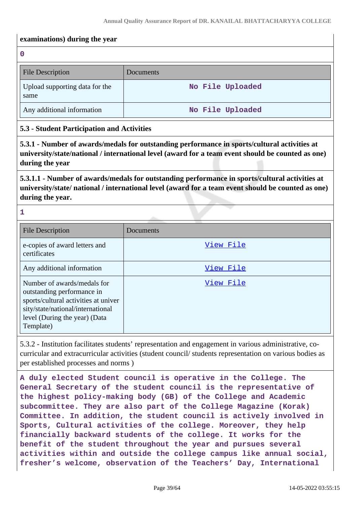### **examinations) during the year**

**0**

| <b>File Description</b>                | Documents        |
|----------------------------------------|------------------|
| Upload supporting data for the<br>same | No File Uploaded |
| Any additional information             | No File Uploaded |

## **5.3 - Student Participation and Activities**

**5.3.1 - Number of awards/medals for outstanding performance in sports/cultural activities at university/state/national / international level (award for a team event should be counted as one) during the year**

**5.3.1.1 - Number of awards/medals for outstanding performance in sports/cultural activities at university/state/ national / international level (award for a team event should be counted as one) during the year.**

**1**

| <b>File Description</b>                                                                                                                                                              | Documents |
|--------------------------------------------------------------------------------------------------------------------------------------------------------------------------------------|-----------|
| e-copies of award letters and<br>certificates                                                                                                                                        | View File |
| Any additional information                                                                                                                                                           | View File |
| Number of awards/medals for<br>outstanding performance in<br>sports/cultural activities at univer<br>sity/state/national/international<br>level (During the year) (Data<br>Template) | View File |

5.3.2 - Institution facilitates students' representation and engagement in various administrative, cocurricular and extracurricular activities (student council/ students representation on various bodies as per established processes and norms )

**A duly elected Student council is operative in the College. The General Secretary of the student council is the representative of the highest policy-making body (GB) of the College and Academic subcommittee. They are also part of the College Magazine (Korak) Committee. In addition, the student council is actively involved in Sports, Cultural activities of the college. Moreover, they help financially backward students of the college. It works for the benefit of the student throughout the year and pursues several activities within and outside the college campus like annual social, fresher's welcome, observation of the Teachers' Day, International**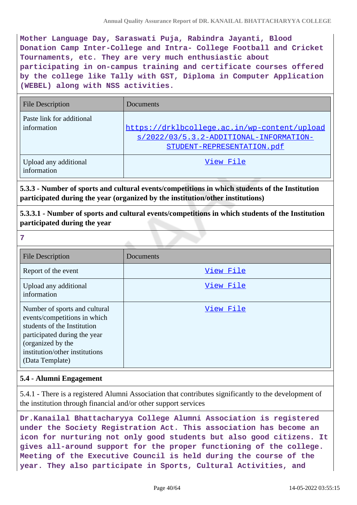**Mother Language Day, Saraswati Puja, Rabindra Jayanti, Blood Donation Camp Inter-College and Intra- College Football and Cricket Tournaments, etc. They are very much enthusiastic about participating in on-campus training and certificate courses offered by the college like Tally with GST, Diploma in Computer Application (WEBEL) along with NSS activities.**

| <b>File Description</b>                  | Documents                                                                                                                 |
|------------------------------------------|---------------------------------------------------------------------------------------------------------------------------|
| Paste link for additional<br>information | https://drklbcollege.ac.in/wp-content/upload<br>$s/2022/03/5.3.2 - ADDITIONAL-INFORMATION-$<br>STUDENT-REPRESENTATION.pdf |
| Upload any additional<br>information     | View File                                                                                                                 |

**5.3.3 - Number of sports and cultural events/competitions in which students of the Institution participated during the year (organized by the institution/other institutions)**

**5.3.3.1 - Number of sports and cultural events/competitions in which students of the Institution participated during the year**

**7** File Description Documents Report of the event  $\overline{View\ File}$ Upload any additional information [View File](https://assessmentonline.naac.gov.in/storage/app/public/aqar/13769/13769_63_146.pdf?1652523913) Number of sports and cultural events/competitions in which students of the Institution participated during the year (organized by the institution/other institutions (Data Template) [View File](https://assessmentonline.naac.gov.in/storage/app/public/aqar/13769/13769_63_147.xlsx?1652523913)

# **5.4 - Alumni Engagement**

5.4.1 - There is a registered Alumni Association that contributes significantly to the development of the institution through financial and/or other support services

**Dr.Kanailal Bhattacharyya College Alumni Association is registered under the Society Registration Act. This association has become an icon for nurturing not only good students but also good citizens. It gives all-around support for the proper functioning of the college. Meeting of the Executive Council is held during the course of the year. They also participate in Sports, Cultural Activities, and**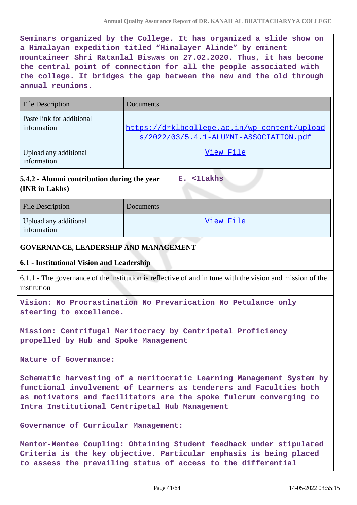**Seminars organized by the College. It has organized a slide show on a Himalayan expedition titled "Himalayer Alinde" by eminent mountaineer Shri Ratanlal Biswas on 27.02.2020. Thus, it has become the central point of connection for all the people associated with the college. It bridges the gap between the new and the old through annual reunions.**

| <b>File Description</b>                                                                                                                                                                                                                                            | Documents |                                                                                                           |
|--------------------------------------------------------------------------------------------------------------------------------------------------------------------------------------------------------------------------------------------------------------------|-----------|-----------------------------------------------------------------------------------------------------------|
| Paste link for additional<br>information                                                                                                                                                                                                                           |           | https://drklbcollege.ac.in/wp-content/upload<br><u>s/2022/03/5.4.1-ALUMNI-ASSOCIATION.pdf</u>             |
| Upload any additional<br>information                                                                                                                                                                                                                               |           | View File                                                                                                 |
| 5.4.2 - Alumni contribution during the year<br>(INR in Lakhs)                                                                                                                                                                                                      |           | E. <1Lakhs                                                                                                |
| <b>File Description</b>                                                                                                                                                                                                                                            | Documents |                                                                                                           |
| Upload any additional<br>information                                                                                                                                                                                                                               |           | <u>View File</u>                                                                                          |
| <b>GOVERNANCE, LEADERSHIP AND MANAGEMENT</b>                                                                                                                                                                                                                       |           |                                                                                                           |
| 6.1 - Institutional Vision and Leadership                                                                                                                                                                                                                          |           |                                                                                                           |
| institution                                                                                                                                                                                                                                                        |           | 6.1.1 - The governance of the institution is reflective of and in tune with the vision and mission of the |
| Vision: No Procrastination No Prevarication No Petulance only<br>steering to excellence.                                                                                                                                                                           |           |                                                                                                           |
| Mission: Centrifugal Meritocracy by Centripetal Proficiency<br>propelled by Hub and Spoke Management                                                                                                                                                               |           |                                                                                                           |
| Nature of Governance:                                                                                                                                                                                                                                              |           |                                                                                                           |
| Schematic harvesting of a meritocratic Learning Management System by<br>functional involvement of Learners as tenderers and Faculties both<br>as motivators and facilitators are the spoke fulcrum converging to<br>Intra Institutional Centripetal Hub Management |           |                                                                                                           |
| Governance of Curricular Management:                                                                                                                                                                                                                               |           |                                                                                                           |
|                                                                                                                                                                                                                                                                    |           | Mentor-Mentee Coupling: Obtaining Student feedback under stipulated                                       |

**Criteria is the key objective. Particular emphasis is being placed to assess the prevailing status of access to the differential**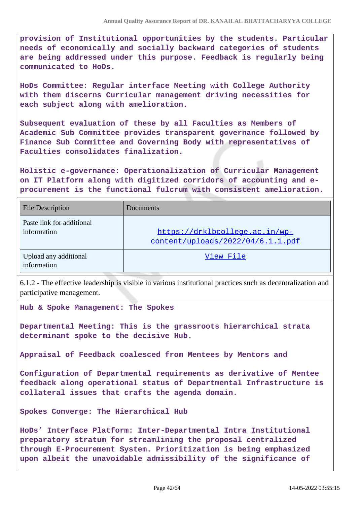**provision of Institutional opportunities by the students. Particular needs of economically and socially backward categories of students are being addressed under this purpose. Feedback is regularly being communicated to HoDs.** 

**HoDs Committee: Regular interface Meeting with College Authority with them discerns Curricular management driving necessities for each subject along with amelioration.**

**Subsequent evaluation of these by all Faculties as Members of Academic Sub Committee provides transparent governance followed by Finance Sub Committee and Governing Body with representatives of Faculties consolidates finalization.** 

**Holistic e-governance: Operationalization of Curricular Management on IT Platform along with digitized corridors of accounting and eprocurement is the functional fulcrum with consistent amelioration.**

| <b>File Description</b>                  | Documents                                                           |
|------------------------------------------|---------------------------------------------------------------------|
| Paste link for additional<br>information | https://drklbcollege.ac.in/wp-<br>content/uploads/2022/04/6.1.1.pdf |
| Upload any additional<br>information     | View File                                                           |

6.1.2 - The effective leadership is visible in various institutional practices such as decentralization and participative management.

**Hub & Spoke Management: The Spokes**

**Departmental Meeting: This is the grassroots hierarchical strata determinant spoke to the decisive Hub.** 

**Appraisal of Feedback coalesced from Mentees by Mentors and**

**Configuration of Departmental requirements as derivative of Mentee feedback along operational status of Departmental Infrastructure is collateral issues that crafts the agenda domain.** 

**Spokes Converge: The Hierarchical Hub**

**HoDs' Interface Platform: Inter-Departmental Intra Institutional preparatory stratum for streamlining the proposal centralized through E-Procurement System. Prioritization is being emphasized upon albeit the unavoidable admissibility of the significance of**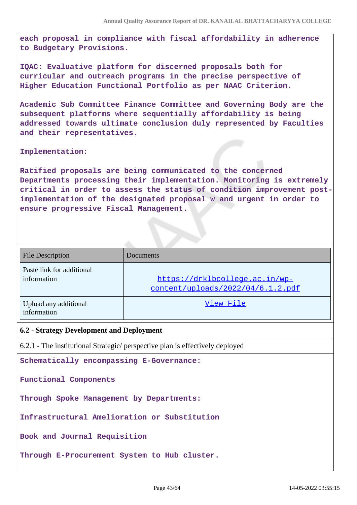**each proposal in compliance with fiscal affordability in adherence to Budgetary Provisions.**

**IQAC: Evaluative platform for discerned proposals both for curricular and outreach programs in the precise perspective of Higher Education Functional Portfolio as per NAAC Criterion.** 

**Academic Sub Committee Finance Committee and Governing Body are the subsequent platforms where sequentially affordability is being addressed towards ultimate conclusion duly represented by Faculties and their representatives.** 

**Implementation:** 

**Ratified proposals are being communicated to the concerned Departments processing their implementation. Monitoring is extremely critical in order to assess the status of condition improvement postimplementation of the designated proposal w and urgent in order to ensure progressive Fiscal Management.**

| <b>File Description</b>                  | <b>Documents</b>                                                    |
|------------------------------------------|---------------------------------------------------------------------|
| Paste link for additional<br>information | https://drklbcollege.ac.in/wp-<br>content/uploads/2022/04/6.1.2.pdf |
| Upload any additional<br>information     | View File                                                           |

#### **6.2 - Strategy Development and Deployment**

6.2.1 - The institutional Strategic/ perspective plan is effectively deployed

**Schematically encompassing E-Governance:**

**Functional Components**

**Through Spoke Management by Departments:** 

**Infrastructural Amelioration or Substitution** 

**Book and Journal Requisition**

**Through E-Procurement System to Hub cluster.**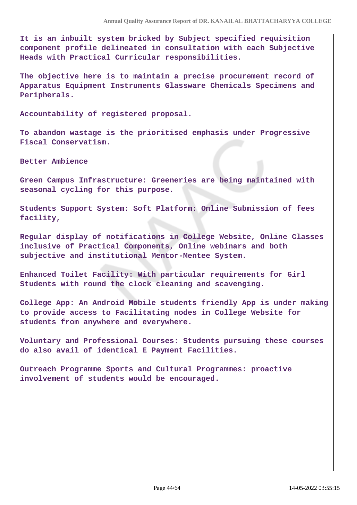**It is an inbuilt system bricked by Subject specified requisition component profile delineated in consultation with each Subjective Heads with Practical Curricular responsibilities.** 

**The objective here is to maintain a precise procurement record of Apparatus Equipment Instruments Glassware Chemicals Specimens and Peripherals.**

**Accountability of registered proposal.** 

**To abandon wastage is the prioritised emphasis under Progressive Fiscal Conservatism.**

**Better Ambience**

**Green Campus Infrastructure: Greeneries are being maintained with seasonal cycling for this purpose.** 

**Students Support System: Soft Platform: Online Submission of fees facility,**

**Regular display of notifications in College Website, Online Classes inclusive of Practical Components, Online webinars and both subjective and institutional Mentor-Mentee System.** 

**Enhanced Toilet Facility: With particular requirements for Girl Students with round the clock cleaning and scavenging.**

**College App: An Android Mobile students friendly App is under making to provide access to Facilitating nodes in College Website for students from anywhere and everywhere.** 

**Voluntary and Professional Courses: Students pursuing these courses do also avail of identical E Payment Facilities.** 

**Outreach Programme Sports and Cultural Programmes: proactive involvement of students would be encouraged.**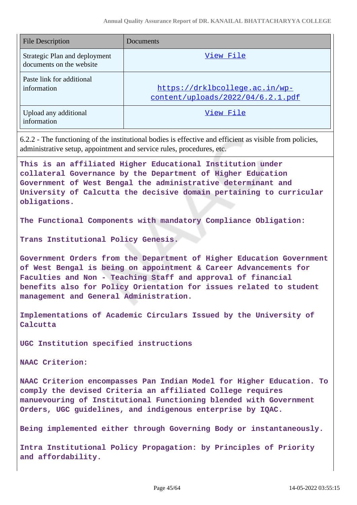| <b>File Description</b>                                   | Documents                                                           |
|-----------------------------------------------------------|---------------------------------------------------------------------|
| Strategic Plan and deployment<br>documents on the website | View File                                                           |
| Paste link for additional<br>information                  | https://drklbcollege.ac.in/wp-<br>content/uploads/2022/04/6.2.1.pdf |
| Upload any additional<br>information                      | View File                                                           |

6.2.2 - The functioning of the institutional bodies is effective and efficient as visible from policies, administrative setup, appointment and service rules, procedures, etc.

**This is an affiliated Higher Educational Institution under collateral Governance by the Department of Higher Education Government of West Bengal the administrative determinant and University of Calcutta the decisive domain pertaining to curricular obligations.**

**The Functional Components with mandatory Compliance Obligation:** 

**Trans Institutional Policy Genesis.** 

**Government Orders from the Department of Higher Education Government of West Bengal is being on appointment & Career Advancements for Faculties and Non - Teaching Staff and approval of financial benefits also for Policy Orientation for issues related to student management and General Administration.**

**Implementations of Academic Circulars Issued by the University of Calcutta**

**UGC Institution specified instructions**

**NAAC Criterion:** 

**NAAC Criterion encompasses Pan Indian Model for Higher Education. To comply the devised Criteria an affiliated College requires manuevouring of Institutional Functioning blended with Government Orders, UGC guidelines, and indigenous enterprise by IQAC.** 

**Being implemented either through Governing Body or instantaneously.** 

**Intra Institutional Policy Propagation: by Principles of Priority and affordability.**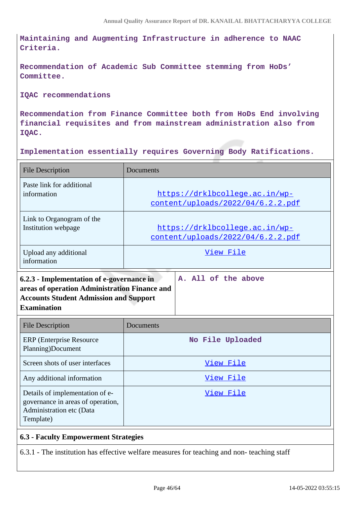**Maintaining and Augmenting Infrastructure in adherence to NAAC Criteria.** 

**Recommendation of Academic Sub Committee stemming from HoDs' Committee.**

**IQAC recommendations** 

**Recommendation from Finance Committee both from HoDs End involving financial requisites and from mainstream administration also from IQAC.**

**Implementation essentially requires Governing Body Ratifications.** 

| <b>File Description</b>                                                                                                                         | Documents                                                           |
|-------------------------------------------------------------------------------------------------------------------------------------------------|---------------------------------------------------------------------|
| Paste link for additional<br>information                                                                                                        | https://drklbcollege.ac.in/wp-<br>content/uploads/2022/04/6.2.2.pdf |
| Link to Organogram of the<br>Institution webpage                                                                                                | https://drklbcollege.ac.in/wp-<br>content/uploads/2022/04/6.2.2.pdf |
| Upload any additional<br>information                                                                                                            | View File                                                           |
| areas of operation Administration Finance and<br><b>Accounts Student Admission and Support</b><br><b>Examination</b><br><b>File Description</b> | Documents                                                           |
| <b>ERP</b> (Enterprise Resource<br>Planning)Document                                                                                            | No File Uploaded                                                    |
| Screen shots of user interfaces                                                                                                                 | View File                                                           |
| Any additional information                                                                                                                      | View File                                                           |
| Details of implementation of e-<br>governance in areas of operation,<br>Administration etc (Data<br>Template)                                   | View File                                                           |

# **6.3 - Faculty Empowerment Strategies**

6.3.1 - The institution has effective welfare measures for teaching and non- teaching staff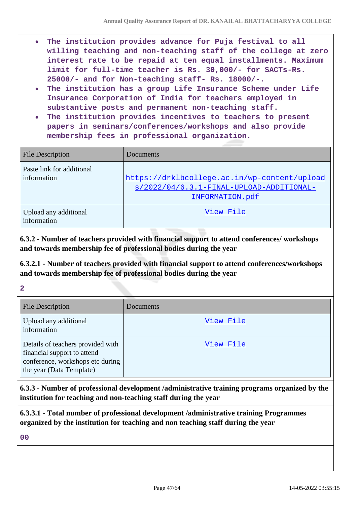- **The institution provides advance for Puja festival to all**  $\bullet$ **willing teaching and non-teaching staff of the college at zero interest rate to be repaid at ten equal installments. Maximum limit for full-time teacher is Rs. 30,000/- for SACTs-Rs. 25000/- and for Non-teaching staff- Rs. 18000/-.**
- **The institution has a group Life Insurance Scheme under Life Insurance Corporation of India for teachers employed in substantive posts and permanent non-teaching staff.**
- **The institution provides incentives to teachers to present papers in seminars/conferences/workshops and also provide membership fees in professional organization.**

| <b>File Description</b>                  | Documents                                                                                                     |
|------------------------------------------|---------------------------------------------------------------------------------------------------------------|
| Paste link for additional<br>information | https://drklbcollege.ac.in/wp-content/upload<br>$s/2022/04/6.3.1-FINAL-UPLOAD-ADDITIONAL-$<br>INFORMATION.pdf |
| Upload any additional<br>information     | View File                                                                                                     |

**6.3.2 - Number of teachers provided with financial support to attend conferences/ workshops and towards membership fee of professional bodies during the year**

**6.3.2.1 - Number of teachers provided with financial support to attend conferences/workshops and towards membership fee of professional bodies during the year**

**2**

| <b>File Description</b>                                                                                                          | Documents |
|----------------------------------------------------------------------------------------------------------------------------------|-----------|
| Upload any additional<br>information                                                                                             | View File |
| Details of teachers provided with<br>financial support to attend<br>conference, workshops etc during<br>the year (Data Template) | View File |

**6.3.3 - Number of professional development /administrative training programs organized by the institution for teaching and non-teaching staff during the year**

**6.3.3.1 - Total number of professional development /administrative training Programmes organized by the institution for teaching and non teaching staff during the year**

**00**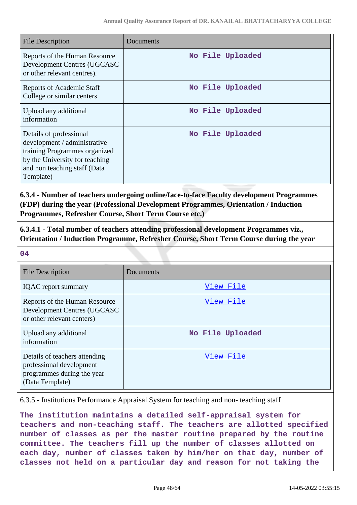| <b>File Description</b>                                                                                                                                                 | Documents        |
|-------------------------------------------------------------------------------------------------------------------------------------------------------------------------|------------------|
| Reports of the Human Resource<br>Development Centres (UGCASC<br>or other relevant centres).                                                                             | No File Uploaded |
| <b>Reports of Academic Staff</b><br>College or similar centers                                                                                                          | No File Uploaded |
| Upload any additional<br>information                                                                                                                                    | No File Uploaded |
| Details of professional<br>development / administrative<br>training Programmes organized<br>by the University for teaching<br>and non teaching staff (Data<br>Template) | No File Uploaded |

**6.3.4 - Number of teachers undergoing online/face-to-face Faculty development Programmes (FDP) during the year (Professional Development Programmes, Orientation / Induction Programmes, Refresher Course, Short Term Course etc.)**

**6.3.4.1 - Total number of teachers attending professional development Programmes viz., Orientation / Induction Programme, Refresher Course, Short Term Course during the year**

**04**

| <b>File Description</b>                                                                                    | Documents        |
|------------------------------------------------------------------------------------------------------------|------------------|
| <b>IQAC</b> report summary                                                                                 | View File        |
| Reports of the Human Resource<br>Development Centres (UGCASC<br>or other relevant centers)                 | View File        |
| Upload any additional<br>information                                                                       | No File Uploaded |
| Details of teachers attending<br>professional development<br>programmes during the year<br>(Data Template) | View File        |

6.3.5 - Institutions Performance Appraisal System for teaching and non- teaching staff

**The institution maintains a detailed self-appraisal system for teachers and non-teaching staff. The teachers are allotted specified number of classes as per the master routine prepared by the routine committee. The teachers fill up the number of classes allotted on each day, number of classes taken by him/her on that day, number of classes not held on a particular day and reason for not taking the**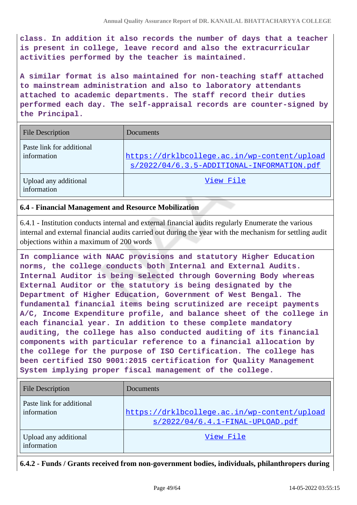**class. In addition it also records the number of days that a teacher is present in college, leave record and also the extracurricular activities performed by the teacher is maintained.**

**A similar format is also maintained for non-teaching staff attached to mainstream administration and also to laboratory attendants attached to academic departments. The staff record their duties performed each day. The self-appraisal records are counter-signed by the Principal.** 

| <b>File Description</b>                  | Documents                                                                                  |
|------------------------------------------|--------------------------------------------------------------------------------------------|
| Paste link for additional<br>information | https://drklbcollege.ac.in/wp-content/upload<br>s/2022/04/6.3.5-ADDITIONAL-INFORMATION.pdf |
| Upload any additional<br>information     | View File                                                                                  |

### **6.4 - Financial Management and Resource Mobilization**

6.4.1 - Institution conducts internal and external financial audits regularly Enumerate the various internal and external financial audits carried out during the year with the mechanism for settling audit objections within a maximum of 200 words

**In compliance with NAAC provisions and statutory Higher Education norms, the college conducts both Internal and External Audits. Internal Auditor is being selected through Governing Body whereas External Auditor or the statutory is being designated by the Department of Higher Education, Government of West Bengal. The fundamental financial items being scrutinized are receipt payments A/C, Income Expenditure profile, and balance sheet of the college in each financial year. In addition to these complete mandatory auditing, the college has also conducted auditing of its financial components with particular reference to a financial allocation by the college for the purpose of ISO Certification. The college has been certified ISO 9001:2015 certification for Quality Management System implying proper fiscal management of the college.** 

| <b>File Description</b>                  | Documents                                                                        |
|------------------------------------------|----------------------------------------------------------------------------------|
| Paste link for additional<br>information | https://drklbcollege.ac.in/wp-content/upload<br>s/2022/04/6.4.1-FINAL-UPLOAD.pdf |
| Upload any additional<br>information     | View File                                                                        |

**6.4.2 - Funds / Grants received from non-government bodies, individuals, philanthropers during**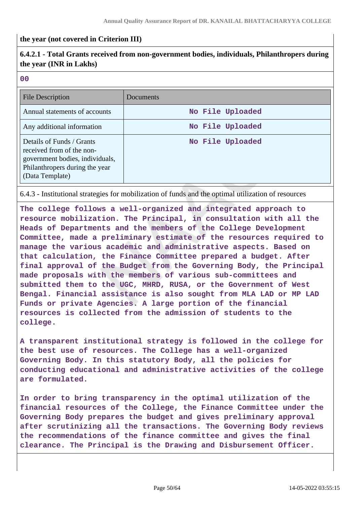### **the year (not covered in Criterion III)**

# **6.4.2.1 - Total Grants received from non-government bodies, individuals, Philanthropers during the year (INR in Lakhs)**

| P.                       | w                        |
|--------------------------|--------------------------|
|                          |                          |
|                          |                          |
|                          |                          |
| ×                        | I                        |
| ۰.                       | ×                        |
| $\overline{\phantom{a}}$ | $\overline{\phantom{a}}$ |
|                          |                          |

| <b>File Description</b>                                                                                                                        | Documents        |
|------------------------------------------------------------------------------------------------------------------------------------------------|------------------|
| Annual statements of accounts                                                                                                                  | No File Uploaded |
| Any additional information                                                                                                                     | No File Uploaded |
| Details of Funds / Grants<br>received from of the non-<br>government bodies, individuals,<br>Philanthropers during the year<br>(Data Template) | No File Uploaded |

6.4.3 - Institutional strategies for mobilization of funds and the optimal utilization of resources

**The college follows a well-organized and integrated approach to resource mobilization. The Principal, in consultation with all the Heads of Departments and the members of the College Development Committee, made a preliminary estimate of the resources required to manage the various academic and administrative aspects. Based on that calculation, the Finance Committee prepared a budget. After final approval of the Budget from the Governing Body, the Principal made proposals with the members of various sub-committees and submitted them to the UGC, MHRD, RUSA, or the Government of West Bengal. Financial assistance is also sought from MLA LAD or MP LAD Funds or private Agencies. A large portion of the financial resources is collected from the admission of students to the college.** 

**A transparent institutional strategy is followed in the college for the best use of resources. The College has a well-organized Governing Body. In this statutory Body, all the policies for conducting educational and administrative activities of the college are formulated.**

**In order to bring transparency in the optimal utilization of the financial resources of the College, the Finance Committee under the Governing Body prepares the budget and gives preliminary approval after scrutinizing all the transactions. The Governing Body reviews the recommendations of the finance committee and gives the final clearance. The Principal is the Drawing and Disbursement Officer.**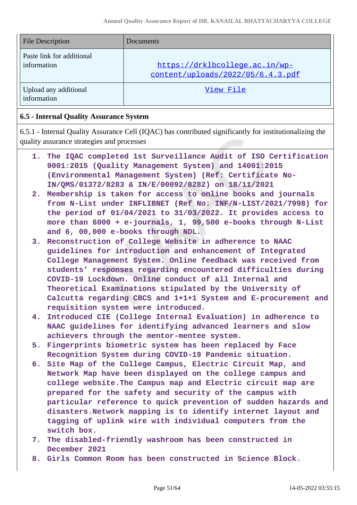| <b>File Description</b>                  | Documents                                                           |
|------------------------------------------|---------------------------------------------------------------------|
| Paste link for additional<br>information | https://drklbcollege.ac.in/wp-<br>content/uploads/2022/05/6.4.3.pdf |
| Upload any additional<br>information     | View File                                                           |

# **6.5 - Internal Quality Assurance System**

6.5.1 - Internal Quality Assurance Cell (IQAC) has contributed significantly for institutionalizing the quality assurance strategies and processes

- **1. The IQAC completed 1st Surveillance Audit of ISO Certification 9001:2015 (Quality Management System) and 14001:2015 (Environmental Management System) (Ref: Certificate No-IN/QMS/01372/8283 & IN/E/00092/8282) on 18/11/2021**
- **2. Membership is taken for access to online books and journals from N-List under INFLIBNET (Ref No: INF/N-LIST/2021/7998) for the period of 01/04/2021 to 31/03/2022. It provides access to more than 6000 + e-journals, 1, 99,500 e-books through N-List and 6, 00,000 e-books through NDL.**
- **3. Reconstruction of College Website in adherence to NAAC guidelines for introduction and enhancement of Integrated College Management System. Online feedback was received from students' responses regarding encountered difficulties during COVID-19 Lockdown. Online conduct of all Internal and Theoretical Examinations stipulated by the University of Calcutta regarding CBCS and 1+1+1 System and E-procurement and requisition system were introduced.**
- **4. Introduced CIE (College Internal Evaluation) in adherence to NAAC guidelines for identifying advanced learners and slow achievers through the mentor-mentee system.**
- **5. Fingerprints biometric system has been replaced by Face Recognition System during COVID-19 Pandemic situation.**
- **6. Site Map of the College Campus, Electric Circuit Map, and Network Map have been displayed on the college campus and college website.The Campus map and Electric circuit map are prepared for the safety and security of the campus with particular reference to quick prevention of sudden hazards and disasters.Network mapping is to identify internet layout and tagging of uplink wire with individual computers from the switch box.**
- **7. The disabled-friendly washroom has been constructed in December 2021**
- **8. Girls Common Room has been constructed in Science Block.**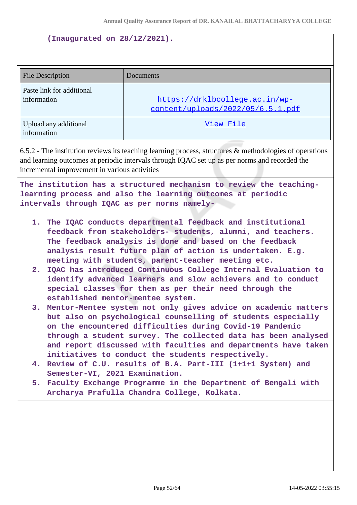#### **(Inaugurated on 28/12/2021).**

| <b>File Description</b>                  | Documents                                                           |
|------------------------------------------|---------------------------------------------------------------------|
| Paste link for additional<br>information | https://drklbcollege.ac.in/wp-<br>content/uploads/2022/05/6.5.1.pdf |
| Upload any additional<br>information     | View File                                                           |

6.5.2 - The institution reviews its teaching learning process, structures & methodologies of operations and learning outcomes at periodic intervals through IQAC set up as per norms and recorded the incremental improvement in various activities

**The institution has a structured mechanism to review the teachinglearning process and also the learning outcomes at periodic intervals through IQAC as per norms namely-**

- **1. The IQAC conducts departmental feedback and institutional feedback from stakeholders- students, alumni, and teachers. The feedback analysis is done and based on the feedback analysis result future plan of action is undertaken. E.g. meeting with students, parent-teacher meeting etc.**
- **2. IQAC has introduced Continuous College Internal Evaluation to identify advanced learners and slow achievers and to conduct special classes for them as per their need through the established mentor-mentee system.**
- **3. Mentor-Mentee system not only gives advice on academic matters but also on psychological counselling of students especially on the encountered difficulties during Covid-19 Pandemic through a student survey. The collected data has been analysed and report discussed with faculties and departments have taken initiatives to conduct the students respectively.**
- **4. Review of C.U. results of B.A. Part-III (1+1+1 System) and Semester-VI, 2021 Examination.**
- **5. Faculty Exchange Programme in the Department of Bengali with Archarya Prafulla Chandra College, Kolkata.**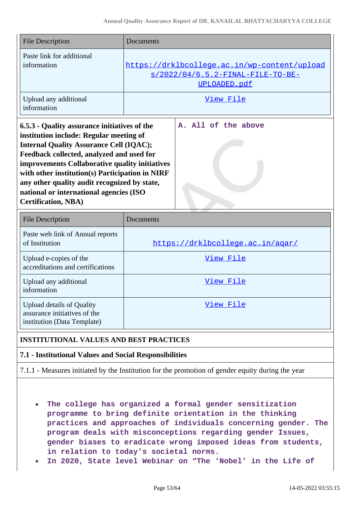| <b>File Description</b>                                                                                                                                                                                                                                                                                                                                                                                              | Documents |                                                                                                                                                                                                                                                    |
|----------------------------------------------------------------------------------------------------------------------------------------------------------------------------------------------------------------------------------------------------------------------------------------------------------------------------------------------------------------------------------------------------------------------|-----------|----------------------------------------------------------------------------------------------------------------------------------------------------------------------------------------------------------------------------------------------------|
| Paste link for additional<br>information                                                                                                                                                                                                                                                                                                                                                                             |           | https://drklbcollege.ac.in/wp-content/upload<br>s/2022/04/6.5.2-FINAL-FILE-TO-BE-<br>UPLOADED.pdf                                                                                                                                                  |
| Upload any additional<br>information                                                                                                                                                                                                                                                                                                                                                                                 |           | View File                                                                                                                                                                                                                                          |
| 6.5.3 - Quality assurance initiatives of the<br>institution include: Regular meeting of<br><b>Internal Quality Assurance Cell (IQAC);</b><br>Feedback collected, analyzed and used for<br>improvements Collaborative quality initiatives<br>with other institution(s) Participation in NIRF<br>any other quality audit recognized by state,<br>national or international agencies (ISO<br><b>Certification, NBA)</b> |           | A. All of the above                                                                                                                                                                                                                                |
| <b>File Description</b>                                                                                                                                                                                                                                                                                                                                                                                              | Documents |                                                                                                                                                                                                                                                    |
| Paste web link of Annual reports<br>of Institution                                                                                                                                                                                                                                                                                                                                                                   |           | https://drklbcollege.ac.in/agar/                                                                                                                                                                                                                   |
| Upload e-copies of the<br>accreditations and certifications                                                                                                                                                                                                                                                                                                                                                          |           | View File                                                                                                                                                                                                                                          |
| Upload any additional<br>information                                                                                                                                                                                                                                                                                                                                                                                 |           | View File                                                                                                                                                                                                                                          |
| <b>Upload details of Quality</b><br>assurance initiatives of the<br>institution (Data Template)                                                                                                                                                                                                                                                                                                                      |           | View File                                                                                                                                                                                                                                          |
| <b>INSTITUTIONAL VALUES AND BEST PRACTICES</b>                                                                                                                                                                                                                                                                                                                                                                       |           |                                                                                                                                                                                                                                                    |
| 7.1 - Institutional Values and Social Responsibilities                                                                                                                                                                                                                                                                                                                                                               |           |                                                                                                                                                                                                                                                    |
|                                                                                                                                                                                                                                                                                                                                                                                                                      |           | 7.1.1 - Measures initiated by the Institution for the promotion of gender equity during the year                                                                                                                                                   |
|                                                                                                                                                                                                                                                                                                                                                                                                                      |           | The college has organized a formal gender sensitization<br>programme to bring definite orientation in the thinking<br>practices and approaches of individuals concerning gender. The<br>program deals with misconceptions regarding gender Issues, |

- **in relation to today's societal norms.**
- **In 2020, State level Webinar on "The 'Nobel' in the Life of**  $\bullet$

**gender biases to eradicate wrong imposed ideas from students,**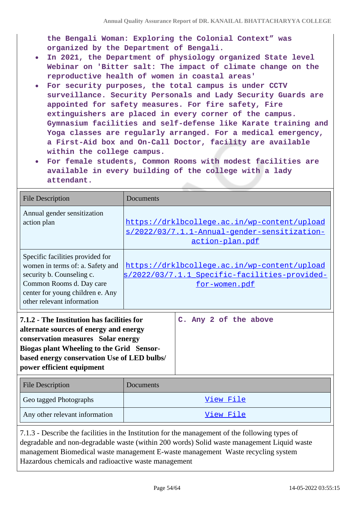**the Bengali Woman: Exploring the Colonial Context" was organized by the Department of Bengali.**

- **In 2021, the Department of physiology organized State level**  $\bullet$ **Webinar on 'Bitter salt: The impact of climate change on the reproductive health of women in coastal areas'**
- **For security purposes, the total campus is under CCTV surveillance. Security Personals and Lady Security Guards are appointed for safety measures. For fire safety, Fire extinguishers are placed in every corner of the campus. Gymnasium facilities and self-defense like Karate training and Yoga classes are regularly arranged. For a medical emergency, a First-Aid box and On-Call Doctor, facility are available within the college campus.**
- **For female students, Common Rooms with modest facilities are available in every building of the college with a lady attendant.**

| <b>File Description</b>                                                                                                                                                                                                                                    | Documents                                                                                                       |
|------------------------------------------------------------------------------------------------------------------------------------------------------------------------------------------------------------------------------------------------------------|-----------------------------------------------------------------------------------------------------------------|
| Annual gender sensitization<br>action plan                                                                                                                                                                                                                 | https://drklbcollege.ac.in/wp-content/upload<br>s/2022/03/7.1.1-Annual-gender-sensitization-<br>action-plan.pdf |
| Specific facilities provided for<br>women in terms of: a. Safety and<br>security b. Counseling c.<br>Common Rooms d. Day care<br>center for young children e. Any<br>other relevant information                                                            | https://drklbcollege.ac.in/wp-content/upload<br>s/2022/03/7.1.1 Specific-facilities-provided-<br>for-women.pdf  |
| 7.1.2 - The Institution has facilities for<br>alternate sources of energy and energy<br>conservation measures Solar energy<br><b>Biogas plant Wheeling to the Grid Sensor-</b><br>based energy conservation Use of LED bulbs/<br>power efficient equipment | C. Any 2 of the above                                                                                           |
| <b>File Description</b>                                                                                                                                                                                                                                    | Documents                                                                                                       |
| Geo tagged Photographs                                                                                                                                                                                                                                     | View File                                                                                                       |
| Any other relevant information                                                                                                                                                                                                                             | View File                                                                                                       |

7.1.3 - Describe the facilities in the Institution for the management of the following types of degradable and non-degradable waste (within 200 words) Solid waste management Liquid waste management Biomedical waste management E-waste management Waste recycling system Hazardous chemicals and radioactive waste management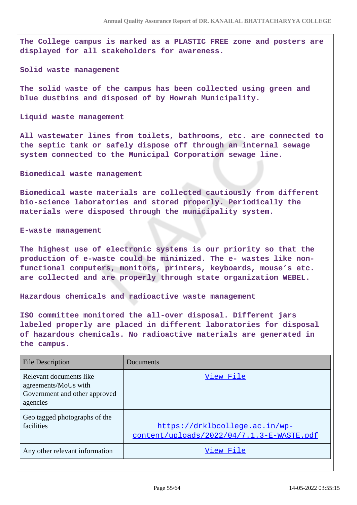**The College campus is marked as a PLASTIC FREE zone and posters are displayed for all stakeholders for awareness.**

**Solid waste management**

**The solid waste of the campus has been collected using green and blue dustbins and disposed of by Howrah Municipality.**

**Liquid waste management**

**All wastewater lines from toilets, bathrooms, etc. are connected to the septic tank or safely dispose off through an internal sewage system connected to the Municipal Corporation sewage line.**

**Biomedical waste management**

**Biomedical waste materials are collected cautiously from different bio-science laboratories and stored properly. Periodically the materials were disposed through the municipality system.**

**E-waste management**

**The highest use of electronic systems is our priority so that the production of e-waste could be minimized. The e- wastes like nonfunctional computers, monitors, printers, keyboards, mouse's etc. are collected and are properly through state organization WEBEL.**

**Hazardous chemicals and radioactive waste management**

**ISO committee monitored the all-over disposal. Different jars labeled properly are placed in different laboratories for disposal of hazardous chemicals. No radioactive materials are generated in the campus.**

| <b>File Description</b>                                                                      | Documents                                                                   |
|----------------------------------------------------------------------------------------------|-----------------------------------------------------------------------------|
| Relevant documents like<br>agreements/MoUs with<br>Government and other approved<br>agencies | View File                                                                   |
| Geo tagged photographs of the<br>facilities                                                  | https://drklbcollege.ac.in/wp-<br>content/uploads/2022/04/7.1.3-E-WASTE.pdf |
| Any other relevant information                                                               | View File                                                                   |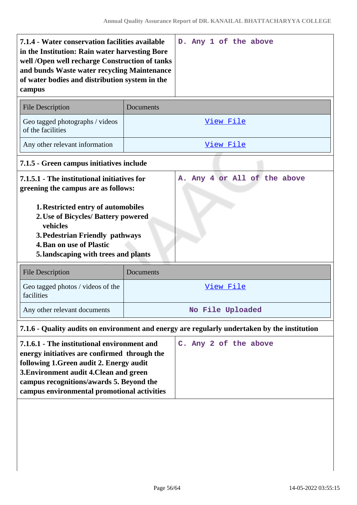| 7.1.4 - Water conservation facilities available<br>in the Institution: Rain water harvesting Bore<br>well /Open well recharge Construction of tanks<br>and bunds Waste water recycling Maintenance<br>of water bodies and distribution system in the<br>campus | D. Any 1 of the above                                                                        |  |
|----------------------------------------------------------------------------------------------------------------------------------------------------------------------------------------------------------------------------------------------------------------|----------------------------------------------------------------------------------------------|--|
| <b>File Description</b>                                                                                                                                                                                                                                        | Documents                                                                                    |  |
| Geo tagged photographs / videos<br>of the facilities                                                                                                                                                                                                           | View File                                                                                    |  |
| Any other relevant information                                                                                                                                                                                                                                 | View File                                                                                    |  |
| 7.1.5 - Green campus initiatives include                                                                                                                                                                                                                       |                                                                                              |  |
| 7.1.5.1 - The institutional initiatives for<br>greening the campus are as follows:<br><b>1. Restricted entry of automobiles</b>                                                                                                                                | Any 4 or All of the above<br>А.                                                              |  |
| 2. Use of Bicycles/ Battery powered<br>vehicles<br>3. Pedestrian Friendly pathways<br><b>4. Ban on use of Plastic</b><br>5. landscaping with trees and plants                                                                                                  |                                                                                              |  |
| <b>File Description</b>                                                                                                                                                                                                                                        | Documents                                                                                    |  |
| Geo tagged photos / videos of the<br>facilities                                                                                                                                                                                                                | View File                                                                                    |  |
| Any other relevant documents                                                                                                                                                                                                                                   | No File Uploaded                                                                             |  |
|                                                                                                                                                                                                                                                                | 7.1.6 - Quality audits on environment and energy are regularly undertaken by the institution |  |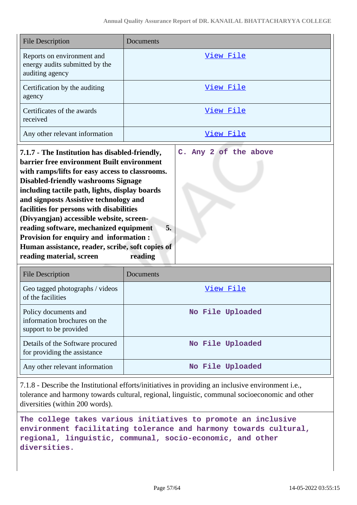**C. Any 2 of the above**

| <b>File Description</b>                                                         | Documents |
|---------------------------------------------------------------------------------|-----------|
| Reports on environment and<br>energy audits submitted by the<br>auditing agency | View File |
| Certification by the auditing<br>agency                                         | View File |
| Certificates of the awards<br>received                                          | View File |
| Any other relevant information                                                  | View File |

**7.1.7 - The Institution has disabled-friendly, barrier free environment Built environment with ramps/lifts for easy access to classrooms. Disabled-friendly washrooms Signage including tactile path, lights, display boards and signposts Assistive technology and facilities for persons with disabilities (Divyangjan) accessible website, screenreading software, mechanized equipment 5. Provision for enquiry and information : Human assistance, reader, scribe, soft copies of reading material, screen reading**

| File Description                                                               | Documents        |
|--------------------------------------------------------------------------------|------------------|
| Geo tagged photographs / videos<br>of the facilities                           | View File        |
| Policy documents and<br>information brochures on the<br>support to be provided | No File Uploaded |
| Details of the Software procured<br>for providing the assistance               | No File Uploaded |
| Any other relevant information                                                 | No File Uploaded |

7.1.8 - Describe the Institutional efforts/initiatives in providing an inclusive environment i.e., tolerance and harmony towards cultural, regional, linguistic, communal socioeconomic and other diversities (within 200 words).

**The college takes various initiatives to promote an inclusive environment facilitating tolerance and harmony towards cultural, regional, linguistic, communal, socio-economic, and other diversities.**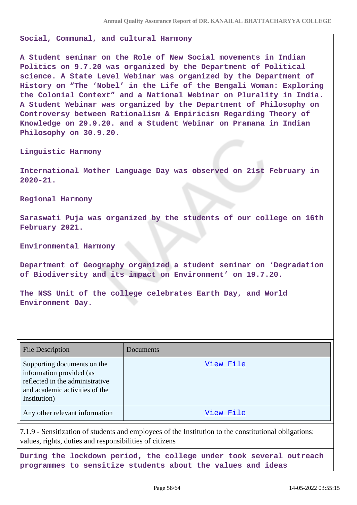**Social, Communal, and cultural Harmony** 

**A Student seminar on the Role of New Social movements in Indian Politics on 9.7.20 was organized by the Department of Political science. A State Level Webinar was organized by the Department of History on "The 'Nobel' in the Life of the Bengali Woman: Exploring the Colonial Context" and a National Webinar on Plurality in India. A Student Webinar was organized by the Department of Philosophy on Controversy between Rationalism & Empiricism Regarding Theory of Knowledge on 29.9.20. and a Student Webinar on Pramana in Indian Philosophy on 30.9.20.** 

**Linguistic Harmony**

**International Mother Language Day was observed on 21st February in 2020-21.**

**Regional Harmony** 

**Saraswati Puja was organized by the students of our college on 16th February 2021.**

**Environmental Harmony**

**Department of Geography organized a student seminar on 'Degradation of Biodiversity and its impact on Environment' on 19.7.20.**

**The NSS Unit of the college celebrates Earth Day, and World Environment Day.** 

| <b>File Description</b>                                                                                                                      | Documents |
|----------------------------------------------------------------------------------------------------------------------------------------------|-----------|
| Supporting documents on the<br>information provided (as<br>reflected in the administrative<br>and academic activities of the<br>Institution) | View File |
| Any other relevant information                                                                                                               | View File |

7.1.9 - Sensitization of students and employees of the Institution to the constitutional obligations: values, rights, duties and responsibilities of citizens

**During the lockdown period, the college under took several outreach programmes to sensitize students about the values and ideas**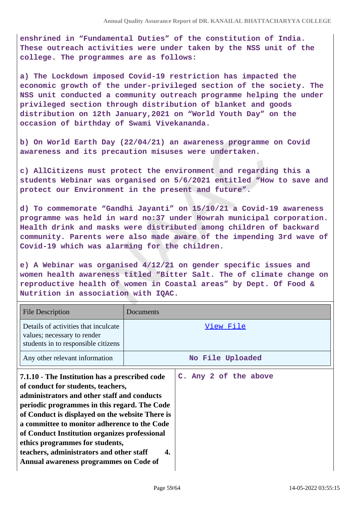**enshrined in "Fundamental Duties" of the constitution of India. These outreach activities were under taken by the NSS unit of the college. The programmes are as follows:**

**a) The Lockdown imposed Covid-19 restriction has impacted the economic growth of the under-privileged section of the society. The NSS unit conducted a community outreach programme helping the under privileged section through distribution of blanket and goods distribution on 12th January,2021 on "World Youth Day" on the occasion of birthday of Swami Vivekananda.**

**b) On World Earth Day (22/04/21) an awareness programme on Covid awareness and its precaution misuses were undertaken.**

**c) AllCitizens must protect the environment and regarding this a students Webinar was organised on 5/6/2021 entitled "How to save and protect our Environment in the present and future".**

**d) To commemorate "Gandhi Jayanti" on 15/10/21 a Covid-19 awareness programme was held in ward no:37 under Howrah municipal corporation. Health drink and masks were distributed among children of backward community. Parents were also made aware of the impending 3rd wave of Covid-19 which was alarming for the children.**

**e) A Webinar was organised 4/12/21 on gender specific issues and women health awareness titled "Bitter Salt. The of climate change on reproductive health of women in Coastal areas" by Dept. Of Food & Nutrition in association with IQAC.**

| <b>File Description</b>                                                                                                                                                                                                                                                                                                                                                                                                                                                | Documents |                       |
|------------------------------------------------------------------------------------------------------------------------------------------------------------------------------------------------------------------------------------------------------------------------------------------------------------------------------------------------------------------------------------------------------------------------------------------------------------------------|-----------|-----------------------|
| Details of activities that inculcate<br>values; necessary to render<br>students in to responsible citizens                                                                                                                                                                                                                                                                                                                                                             |           | View File             |
| Any other relevant information                                                                                                                                                                                                                                                                                                                                                                                                                                         |           | No File Uploaded      |
| 7.1.10 - The Institution has a prescribed code<br>of conduct for students, teachers,<br>administrators and other staff and conducts<br>periodic programmes in this regard. The Code<br>of Conduct is displayed on the website There is<br>a committee to monitor adherence to the Code<br>of Conduct Institution organizes professional<br>ethics programmes for students,<br>teachers, administrators and other staff<br>4.<br>Annual awareness programmes on Code of |           | C. Any 2 of the above |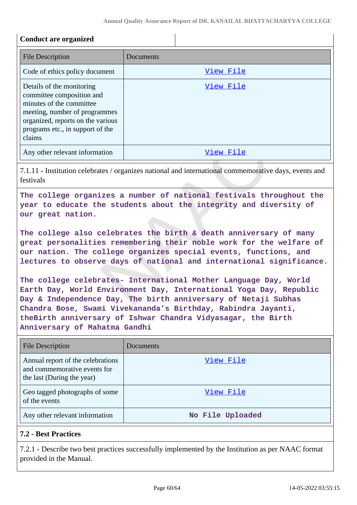## **Conduct are organized**

| <b>File Description</b>                                                                                                                                                                                | Documents |
|--------------------------------------------------------------------------------------------------------------------------------------------------------------------------------------------------------|-----------|
| Code of ethics policy document                                                                                                                                                                         | View File |
| Details of the monitoring<br>committee composition and<br>minutes of the committee<br>meeting, number of programmes<br>organized, reports on the various<br>programs etc., in support of the<br>claims | View File |
| Any other relevant information                                                                                                                                                                         | View File |

7.1.11 - Institution celebrates / organizes national and international commemorative days, events and festivals

**The college organizes a number of national festivals throughout the year to educate the students about the integrity and diversity of our great nation.**

**The college also celebrates the birth & death anniversary of many great personalities remembering their noble work for the welfare of our nation. The college organizes special events, functions, and lectures to observe days of national and international significance.**

**The college celebrates- International Mother Language Day, World Earth Day, World Environment Day, International Yoga Day, Republic Day & Independence Day, The birth anniversary of Netaji Subhas Chandra Bose, Swami Vivekananda's Birthday, Rabindra Jayanti, theBirth anniversary of Ishwar Chandra Vidyasagar, the Birth Anniversary of Mahatma Gandhi** 

| <b>File Description</b>                                                                         | Documents        |
|-------------------------------------------------------------------------------------------------|------------------|
| Annual report of the celebrations<br>and commemorative events for<br>the last (During the year) | View File        |
| Geo tagged photographs of some<br>of the events                                                 | View File        |
| Any other relevant information                                                                  | No File Uploaded |

# **7.2 - Best Practices**

7.2.1 - Describe two best practices successfully implemented by the Institution as per NAAC format provided in the Manual.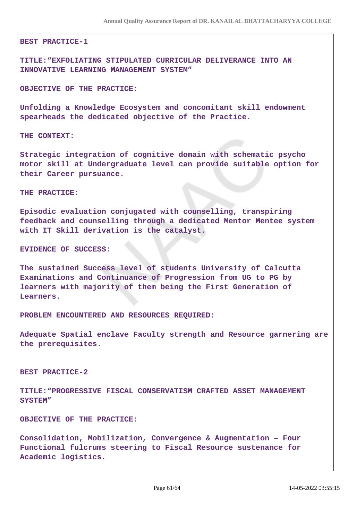#### **BEST PRACTICE-1**

**TITLE:"EXFOLIATING STIPULATED CURRICULAR DELIVERANCE INTO AN INNOVATIVE LEARNING MANAGEMENT SYSTEM"**

**OBJECTIVE OF THE PRACTICE:**

**Unfolding a Knowledge Ecosystem and concomitant skill endowment spearheads the dedicated objective of the Practice.** 

**THE CONTEXT:**

**Strategic integration of cognitive domain with schematic psycho motor skill at Undergraduate level can provide suitable option for their Career pursuance.** 

**THE PRACTICE:**

**Episodic evaluation conjugated with counselling, transpiring feedback and counselling through a dedicated Mentor Mentee system with IT Skill derivation is the catalyst.** 

**EVIDENCE OF SUCCESS:**

**The sustained Success level of students University of Calcutta Examinations and Continuance of Progression from UG to PG by learners with majority of them being the First Generation of Learners.** 

**PROBLEM ENCOUNTERED AND RESOURCES REQUIRED:** 

**Adequate Spatial enclave Faculty strength and Resource garnering are the prerequisites.**

**BEST PRACTICE-2**

**TITLE:"PROGRESSIVE FISCAL CONSERVATISM CRAFTED ASSET MANAGEMENT SYSTEM"**

**OBJECTIVE OF THE PRACTICE:**

**Consolidation, Mobilization, Convergence & Augmentation – Four Functional fulcrums steering to Fiscal Resource sustenance for Academic logistics.**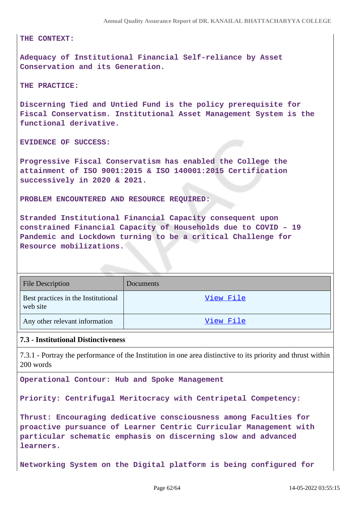**THE CONTEXT:** 

**Adequacy of Institutional Financial Self-reliance by Asset Conservation and its Generation.** 

**THE PRACTICE:**

**Discerning Tied and Untied Fund is the policy prerequisite for Fiscal Conservatism. Institutional Asset Management System is the functional derivative.** 

**EVIDENCE OF SUCCESS:**

**Progressive Fiscal Conservatism has enabled the College the attainment of ISO 9001:2015 & ISO 140001:2015 Certification successively in 2020 & 2021.** 

**PROBLEM ENCOUNTERED AND RESOURCE REQUIRED:**

**Stranded Institutional Financial Capacity consequent upon constrained Financial Capacity of Households due to COVID – 19 Pandemic and Lockdown turning to be a critical Challenge for Resource mobilizations.**

| <b>File Description</b>                         | <b>Documents</b> |
|-------------------------------------------------|------------------|
| Best practices in the Institutional<br>web site | View File        |
| Any other relevant information                  | View File        |

### **7.3 - Institutional Distinctiveness**

7.3.1 - Portray the performance of the Institution in one area distinctive to its priority and thrust within 200 words

**Operational Contour: Hub and Spoke Management**

**Priority: Centrifugal Meritocracy with Centripetal Competency:**

**Thrust: Encouraging dedicative consciousness among Faculties for proactive pursuance of Learner Centric Curricular Management with particular schematic emphasis on discerning slow and advanced learners.**

**Networking System on the Digital platform is being configured for**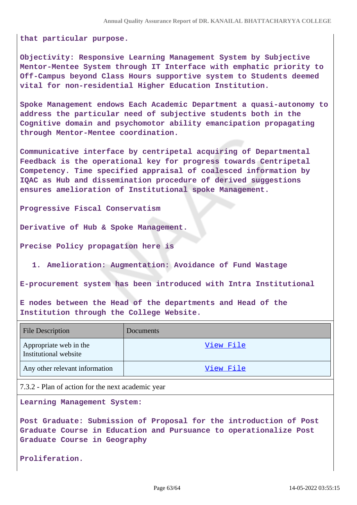**that particular purpose.**

**Objectivity: Responsive Learning Management System by Subjective Mentor-Mentee System through IT Interface with emphatic priority to Off-Campus beyond Class Hours supportive system to Students deemed vital for non-residential Higher Education Institution.**

**Spoke Management endows Each Academic Department a quasi-autonomy to address the particular need of subjective students both in the Cognitive domain and psychomotor ability emancipation propagating through Mentor-Mentee coordination.** 

**Communicative interface by centripetal acquiring of Departmental Feedback is the operational key for progress towards Centripetal Competency. Time specified appraisal of coalesced information by IQAC as Hub and dissemination procedure of derived suggestions ensures amelioration of Institutional spoke Management.** 

**Progressive Fiscal Conservatism**

**Derivative of Hub & Spoke Management.**

**Precise Policy propagation here is**

**1. Amelioration: Augmentation: Avoidance of Fund Wastage**

**E-procurement system has been introduced with Intra Institutional** 

**E nodes between the Head of the departments and Head of the Institution through the College Website.**

| <b>File Description</b>                         | <b>Documents</b> |
|-------------------------------------------------|------------------|
| Appropriate web in the<br>Institutional website | View File        |
| Any other relevant information                  | View File        |

7.3.2 - Plan of action for the next academic year

**Learning Management System:**

**Post Graduate: Submission of Proposal for the introduction of Post Graduate Course in Education and Pursuance to operationalize Post Graduate Course in Geography**

**Proliferation.**